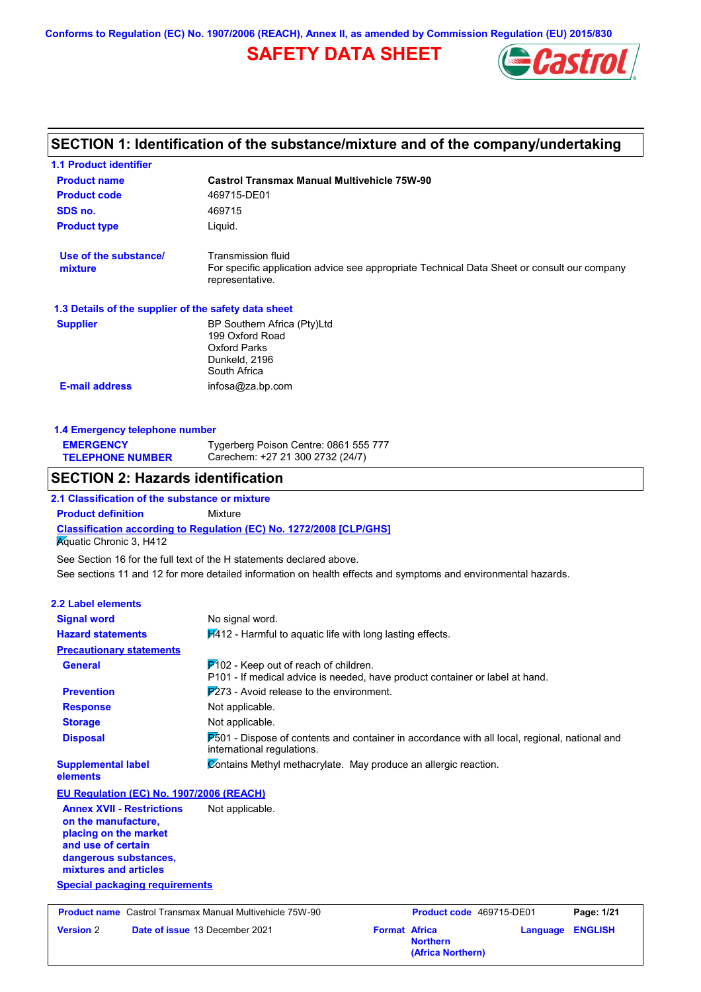# **SAFETY DATA SHEET**



# **SECTION 1: Identification of the substance/mixture and of the company/undertaking**

| <b>1.1 Product identifier</b>                                                    |                                                                                                                          |                                                                                               |
|----------------------------------------------------------------------------------|--------------------------------------------------------------------------------------------------------------------------|-----------------------------------------------------------------------------------------------|
| <b>Product name</b>                                                              | <b>Castrol Transmax Manual Multivehicle 75W-90</b>                                                                       |                                                                                               |
| <b>Product code</b>                                                              | 469715-DE01                                                                                                              |                                                                                               |
| SDS no.                                                                          | 469715                                                                                                                   |                                                                                               |
| <b>Product type</b>                                                              | Liquid.                                                                                                                  |                                                                                               |
| Use of the substance/<br>mixture                                                 | Transmission fluid<br>representative.                                                                                    | For specific application advice see appropriate Technical Data Sheet or consult our company   |
| 1.3 Details of the supplier of the safety data sheet                             |                                                                                                                          |                                                                                               |
| <b>Supplier</b>                                                                  | BP Southern Africa (Pty)Ltd<br>199 Oxford Road<br><b>Oxford Parks</b><br>Dunkeld, 2196<br>South Africa                   |                                                                                               |
| <b>E-mail address</b>                                                            | infosa@za.bp.com                                                                                                         |                                                                                               |
|                                                                                  |                                                                                                                          |                                                                                               |
| 1.4 Emergency telephone number                                                   |                                                                                                                          |                                                                                               |
| <b>EMERGENCY</b><br><b>TELEPHONE NUMBER</b>                                      | Tygerberg Poison Centre: 0861 555 777<br>Carechem: +27 21 300 2732 (24/7)                                                |                                                                                               |
| <b>SECTION 2: Hazards identification</b>                                         |                                                                                                                          |                                                                                               |
| 2.1 Classification of the substance or mixture                                   |                                                                                                                          |                                                                                               |
| <b>Product definition</b>                                                        | Mixture                                                                                                                  |                                                                                               |
| <b>Aquatic Chronic 3, H412</b>                                                   | Classification according to Regulation (EC) No. 1272/2008 [CLP/GHS]                                                      |                                                                                               |
|                                                                                  | See Section 16 for the full text of the H statements declared above.                                                     |                                                                                               |
|                                                                                  | See sections 11 and 12 for more detailed information on health effects and symptoms and environmental hazards.           |                                                                                               |
| <b>2.2 Label elements</b>                                                        |                                                                                                                          |                                                                                               |
| <b>Signal word</b>                                                               | No signal word.                                                                                                          |                                                                                               |
| <b>Hazard statements</b>                                                         | H412 - Harmful to aquatic life with long lasting effects.                                                                |                                                                                               |
| <b>Precautionary statements</b>                                                  |                                                                                                                          |                                                                                               |
| <b>General</b>                                                                   | $P$ 102 - Keep out of reach of children.<br>P101 - If medical advice is needed, have product container or label at hand. |                                                                                               |
| <b>Prevention</b>                                                                | $\cancel{P273}$ - Avoid release to the environment.                                                                      |                                                                                               |
| <b>Response</b>                                                                  | Not applicable.                                                                                                          |                                                                                               |
| <b>Storage</b>                                                                   | Not applicable.                                                                                                          |                                                                                               |
| <b>Disposal</b>                                                                  | international regulations.                                                                                               | P501 - Dispose of contents and container in accordance with all local, regional, national and |
| <b>Supplemental label</b><br>elements                                            | Contains Methyl methacrylate. May produce an allergic reaction.                                                          |                                                                                               |
| EU Regulation (EC) No. 1907/2006 (REACH)                                         |                                                                                                                          |                                                                                               |
| <b>Annex XVII - Restrictions</b><br>on the manufacture,<br>placing on the market | Not applicable.                                                                                                          |                                                                                               |
| and use of certain<br>dangerous substances,<br>mixtures and articles             |                                                                                                                          |                                                                                               |
| <b>Special packaging requirements</b>                                            |                                                                                                                          |                                                                                               |
| <b>Product name</b> Castrol Transmax Manual Multivehicle 75W-90                  |                                                                                                                          | Product code 469715-DE01<br>Page: 1/21                                                        |
| <b>Version 2</b>                                                                 | Date of issue 13 December 2021                                                                                           | <b>Format Africa</b><br><b>ENGLISH</b><br><b>Language</b><br><b>Northern</b>                  |

**(Africa Northern)**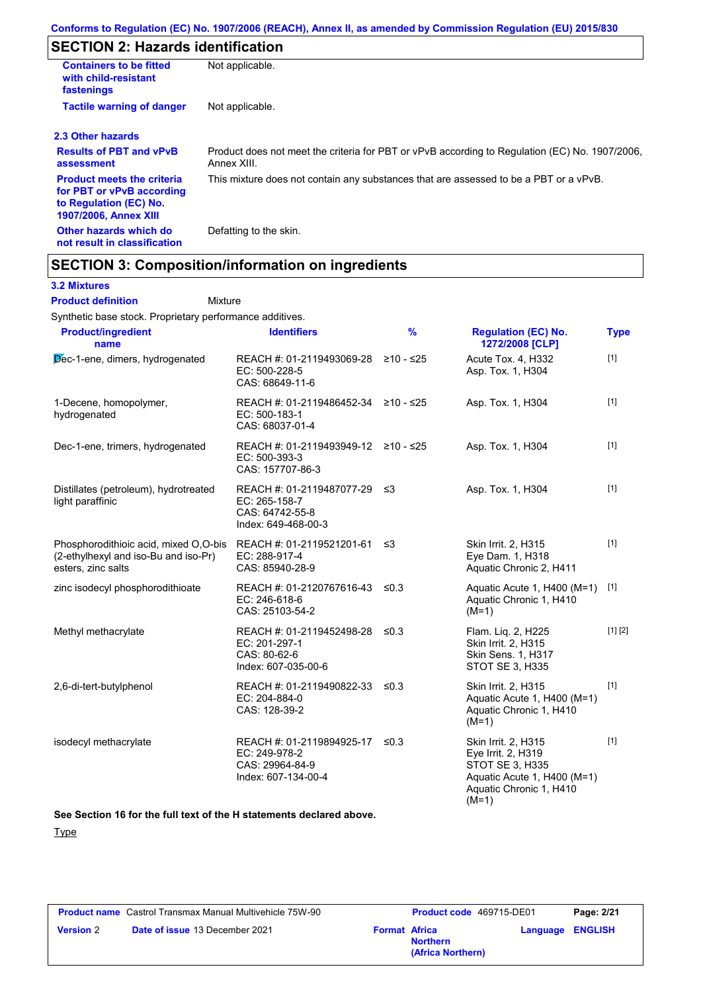# **SECTION 2: Hazards identification**

| <b>Containers to be fitted</b><br>with child-resistant<br>fastenings                                              | Not applicable.                                                                                               |
|-------------------------------------------------------------------------------------------------------------------|---------------------------------------------------------------------------------------------------------------|
| <b>Tactile warning of danger</b>                                                                                  | Not applicable.                                                                                               |
| 2.3 Other hazards                                                                                                 |                                                                                                               |
| <b>Results of PBT and vPvB</b><br>assessment                                                                      | Product does not meet the criteria for PBT or vPvB according to Regulation (EC) No. 1907/2006,<br>Annex XIII. |
| <b>Product meets the criteria</b><br>for PBT or vPvB according<br>to Regulation (EC) No.<br>1907/2006, Annex XIII | This mixture does not contain any substances that are assessed to be a PBT or a vPvB.                         |
| Other hazards which do<br>not result in classification                                                            | Defatting to the skin.                                                                                        |

# **SECTION 3: Composition/information on ingredients**

## **3.2 Mixtures**

Mixture **Product definition**

Synthetic base stock. Proprietary performance additives.

| <b>Product/ingredient</b><br>name                                                                   | <b>Identifiers</b>                                                                      | $\frac{9}{6}$ | <b>Regulation (EC) No.</b><br>1272/2008 [CLP]                                                                                     | <b>Type</b> |
|-----------------------------------------------------------------------------------------------------|-----------------------------------------------------------------------------------------|---------------|-----------------------------------------------------------------------------------------------------------------------------------|-------------|
| Dec-1-ene, dimers, hydrogenated                                                                     | REACH #: 01-2119493069-28<br>EC: 500-228-5<br>CAS: 68649-11-6                           | ≥10 - ≤25     | Acute Tox. 4, H332<br>Asp. Tox. 1, H304                                                                                           | $[1]$       |
| 1-Decene, homopolymer,<br>hydrogenated                                                              | REACH #: 01-2119486452-34 ≥10 - ≤25<br>EC: 500-183-1<br>CAS: 68037-01-4                 |               | Asp. Tox. 1, H304                                                                                                                 | $[1]$       |
| Dec-1-ene, trimers, hydrogenated                                                                    | REACH #: 01-2119493949-12 ≥10 - ≤25<br>EC: 500-393-3<br>CAS: 157707-86-3                |               | Asp. Tox. 1, H304                                                                                                                 | $[1]$       |
| Distillates (petroleum), hydrotreated<br>light paraffinic                                           | REACH #: 01-2119487077-29 ≤3<br>EC: 265-158-7<br>CAS: 64742-55-8<br>Index: 649-468-00-3 |               | Asp. Tox. 1, H304                                                                                                                 | $[1]$       |
| Phosphorodithioic acid, mixed O,O-bis<br>(2-ethylhexyl and iso-Bu and iso-Pr)<br>esters, zinc salts | REACH #: 01-2119521201-61<br>EC: 288-917-4<br>CAS: 85940-28-9                           | ≤3            | Skin Irrit. 2, H315<br>Eye Dam. 1, H318<br>Aquatic Chronic 2, H411                                                                | $[1]$       |
| zinc isodecyl phosphorodithioate                                                                    | REACH #: 01-2120767616-43 ≤0.3<br>EC: 246-618-6<br>CAS: 25103-54-2                      |               | Aquatic Acute 1, H400 (M=1)<br>Aquatic Chronic 1, H410<br>$(M=1)$                                                                 | $[1]$       |
| Methyl methacrylate                                                                                 | REACH #: 01-2119452498-28<br>EC: 201-297-1<br>CAS: 80-62-6<br>Index: 607-035-00-6       | ≤0.3          | Flam. Liq. 2, H225<br>Skin Irrit. 2, H315<br><b>Skin Sens. 1, H317</b><br><b>STOT SE 3, H335</b>                                  | [1] [2]     |
| 2,6-di-tert-butylphenol                                                                             | REACH #: 01-2119490822-33<br>EC: 204-884-0<br>CAS: 128-39-2                             | $\leq 0.3$    | Skin Irrit. 2, H315<br>Aquatic Acute 1, H400 (M=1)<br>Aquatic Chronic 1, H410<br>$(M=1)$                                          | $[1]$       |
| isodecyl methacrylate                                                                               | REACH #: 01-2119894925-17<br>EC: 249-978-2<br>CAS: 29964-84-9<br>Index: 607-134-00-4    | ≤0.3          | Skin Irrit. 2, H315<br>Eye Irrit. 2, H319<br>STOT SE 3, H335<br>Aquatic Acute 1, H400 (M=1)<br>Aquatic Chronic 1, H410<br>$(M=1)$ | $[1]$       |

#### **See Section 16 for the full text of the H statements declared above.**

**Type** 

|                  | <b>Product name</b> Castrol Transmax Manual Multivehicle 75W-90 |                      | <b>Product code</b> 469715-DE01      | Page: 2/21              |
|------------------|-----------------------------------------------------------------|----------------------|--------------------------------------|-------------------------|
| <b>Version 2</b> | <b>Date of issue 13 December 2021</b>                           | <b>Format Africa</b> | <b>Northern</b><br>(Africa Northern) | <b>Language ENGLISH</b> |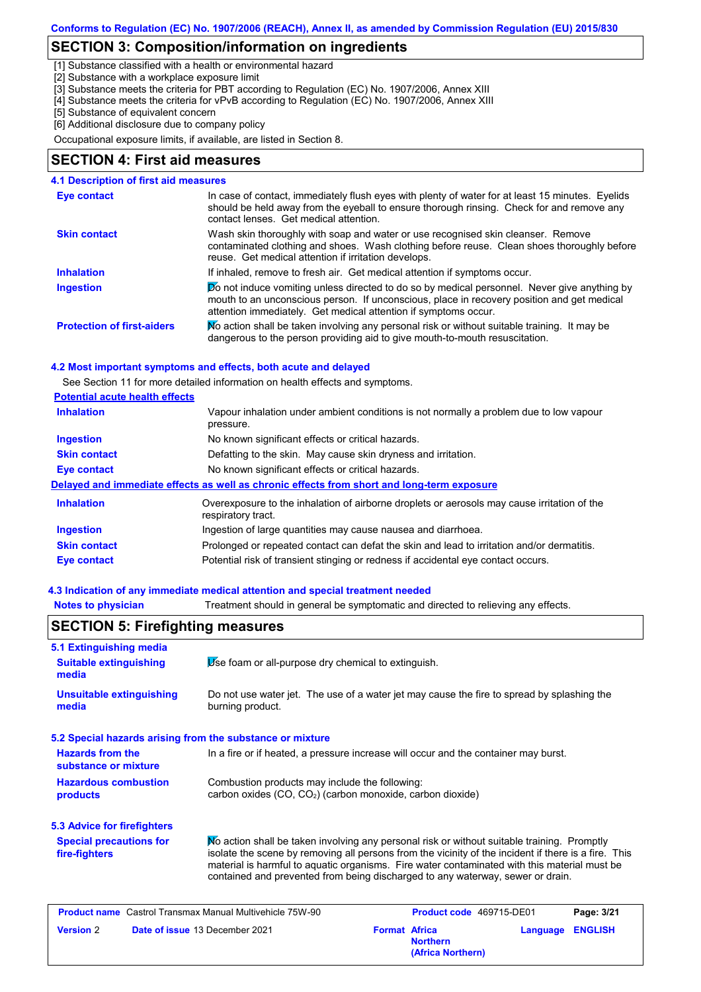## **SECTION 3: Composition/information on ingredients**

[1] Substance classified with a health or environmental hazard

[2] Substance with a workplace exposure limit

[3] Substance meets the criteria for PBT according to Regulation (EC) No. 1907/2006, Annex XIII

[4] Substance meets the criteria for vPvB according to Regulation (EC) No. 1907/2006, Annex XIII

[5] Substance of equivalent concern

[6] Additional disclosure due to company policy

Occupational exposure limits, if available, are listed in Section 8.

#### **SECTION 4: First aid measures**

#### $\triangledown$  not induce vomiting unless directed to do so by medical personnel. Never give anything by mouth to an unconscious person. If unconscious, place in recovery position and get medical attention immediately. Get medical attention if symptoms occur. In case of contact, immediately flush eyes with plenty of water for at least 15 minutes. Eyelids should be held away from the eyeball to ensure thorough rinsing. Check for and remove any contact lenses. Get medical attention. **4.1 Description of first aid measures** If inhaled, remove to fresh air. Get medical attention if symptoms occur. **Ingestion Inhalation Eye contact Protection of first-aiders** Mo action shall be taken involving any personal risk or without suitable training. It may be dangerous to the person providing aid to give mouth-to-mouth resuscitation. **Skin contact** Wash skin thoroughly with soap and water or use recognised skin cleanser. Remove contaminated clothing and shoes. Wash clothing before reuse. Clean shoes thoroughly before reuse. Get medical attention if irritation develops.

#### **4.2 Most important symptoms and effects, both acute and delayed**

See Section 11 for more detailed information on health effects and symptoms.

| <b>Potential acute health effects</b> |                                                                                                                   |
|---------------------------------------|-------------------------------------------------------------------------------------------------------------------|
| <b>Inhalation</b>                     | Vapour inhalation under ambient conditions is not normally a problem due to low vapour<br>pressure.               |
| <b>Ingestion</b>                      | No known significant effects or critical hazards.                                                                 |
| <b>Skin contact</b>                   | Defatting to the skin. May cause skin dryness and irritation.                                                     |
| Eye contact                           | No known significant effects or critical hazards.                                                                 |
|                                       | Delayed and immediate effects as well as chronic effects from short and long-term exposure                        |
| <b>Inhalation</b>                     | Overexposure to the inhalation of airborne droplets or aerosols may cause irritation of the<br>respiratory tract. |
| <b>Ingestion</b>                      | Ingestion of large quantities may cause nausea and diarrhoea.                                                     |
| <b>Skin contact</b>                   | Prolonged or repeated contact can defat the skin and lead to irritation and/or dermatitis.                        |
| <b>Eye contact</b>                    | Potential risk of transient stinging or redness if accidental eye contact occurs.                                 |

#### **4.3 Indication of any immediate medical attention and special treatment needed**

| <b>Notes to physician</b>                                         | Treatment should in general be symptomatic and directed to relieving any effects.                                                                                                                                                                                                                                                                                                     |
|-------------------------------------------------------------------|---------------------------------------------------------------------------------------------------------------------------------------------------------------------------------------------------------------------------------------------------------------------------------------------------------------------------------------------------------------------------------------|
| <b>SECTION 5: Firefighting measures</b>                           |                                                                                                                                                                                                                                                                                                                                                                                       |
| 5.1 Extinguishing media<br><b>Suitable extinguishing</b><br>media | Use foam or all-purpose dry chemical to extinguish.                                                                                                                                                                                                                                                                                                                                   |
| <b>Unsuitable extinguishing</b><br>media                          | Do not use water jet. The use of a water jet may cause the fire to spread by splashing the<br>burning product.                                                                                                                                                                                                                                                                        |
|                                                                   | 5.2 Special hazards arising from the substance or mixture                                                                                                                                                                                                                                                                                                                             |
| <b>Hazards from the</b><br>substance or mixture                   | In a fire or if heated, a pressure increase will occur and the container may burst.                                                                                                                                                                                                                                                                                                   |
| <b>Hazardous combustion</b><br>products                           | Combustion products may include the following:<br>carbon oxides $(CO, CO2)$ (carbon monoxide, carbon dioxide)                                                                                                                                                                                                                                                                         |
| <b>5.3 Advice for firefighters</b>                                |                                                                                                                                                                                                                                                                                                                                                                                       |
| <b>Special precautions for</b><br>fire-fighters                   | No action shall be taken involving any personal risk or without suitable training. Promptly<br>isolate the scene by removing all persons from the vicinity of the incident if there is a fire. This<br>material is harmful to aquatic organisms. Fire water contaminated with this material must be<br>contained and prevented from being discharged to any waterway, sewer or drain. |
| <b>Product name</b> Castrol Transmax Manual Multivehicle 75W-90   | Product code 469715-DE01<br>Page: 3/21                                                                                                                                                                                                                                                                                                                                                |
| <b>Version 2</b>                                                  | Date of issue 13 December 2021<br><b>Format Africa</b><br><b>ENGLISH</b><br>Language<br><b>Northern</b>                                                                                                                                                                                                                                                                               |

**(Africa Northern)**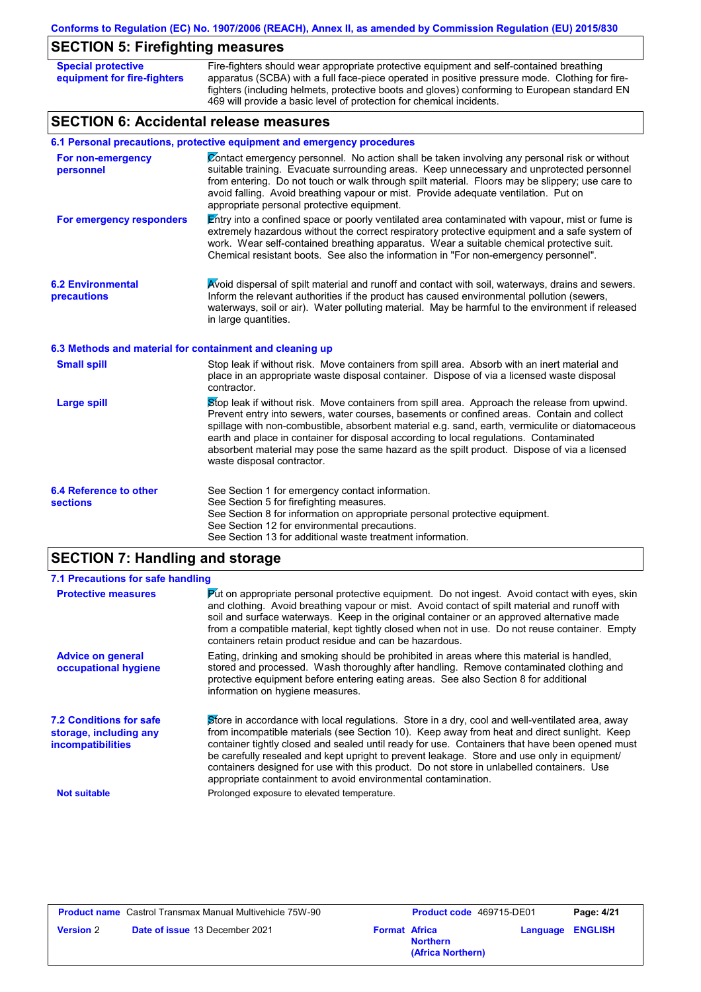# **SECTION 5: Firefighting measures**

| <b>Special protective</b><br>equipment for fire-fighters | Fire-fighters should wear appropriate protective equipment and self-contained breathing<br>apparatus (SCBA) with a full face-piece operated in positive pressure mode. Clothing for fire-<br>fighters (including helmets, protective boots and gloves) conforming to European standard EN<br>469 will provide a basic level of protection for chemical incidents.                                                                                                                                                     |
|----------------------------------------------------------|-----------------------------------------------------------------------------------------------------------------------------------------------------------------------------------------------------------------------------------------------------------------------------------------------------------------------------------------------------------------------------------------------------------------------------------------------------------------------------------------------------------------------|
| <b>SECTION 6: Accidental release measures</b>            |                                                                                                                                                                                                                                                                                                                                                                                                                                                                                                                       |
|                                                          | 6.1 Personal precautions, protective equipment and emergency procedures                                                                                                                                                                                                                                                                                                                                                                                                                                               |
| For non-emergency<br>personnel                           | Contact emergency personnel. No action shall be taken involving any personal risk or without<br>suitable training. Evacuate surrounding areas. Keep unnecessary and unprotected personnel<br>from entering. Do not touch or walk through spilt material. Floors may be slippery; use care to<br>avoid falling. Avoid breathing vapour or mist. Provide adequate ventilation. Put on<br>appropriate personal protective equipment.                                                                                     |
| For emergency responders                                 | Entry into a confined space or poorly ventilated area contaminated with vapour, mist or fume is<br>extremely hazardous without the correct respiratory protective equipment and a safe system of<br>work. Wear self-contained breathing apparatus. Wear a suitable chemical protective suit.<br>Chemical resistant boots. See also the information in "For non-emergency personnel".                                                                                                                                  |
| <b>6.2 Environmental</b><br>precautions                  | Avoid dispersal of spilt material and runoff and contact with soil, waterways, drains and sewers.<br>Inform the relevant authorities if the product has caused environmental pollution (sewers,<br>waterways, soil or air). Water polluting material. May be harmful to the environment if released<br>in large quantities.                                                                                                                                                                                           |
| 6.3 Methods and material for containment and cleaning up |                                                                                                                                                                                                                                                                                                                                                                                                                                                                                                                       |
| <b>Small spill</b>                                       | Stop leak if without risk. Move containers from spill area. Absorb with an inert material and<br>place in an appropriate waste disposal container. Dispose of via a licensed waste disposal<br>contractor.                                                                                                                                                                                                                                                                                                            |
| <b>Large spill</b>                                       | Stop leak if without risk. Move containers from spill area. Approach the release from upwind.<br>Prevent entry into sewers, water courses, basements or confined areas. Contain and collect<br>spillage with non-combustible, absorbent material e.g. sand, earth, vermiculite or diatomaceous<br>earth and place in container for disposal according to local regulations. Contaminated<br>absorbent material may pose the same hazard as the spilt product. Dispose of via a licensed<br>waste disposal contractor. |
| 6.4 Reference to other<br><b>sections</b>                | See Section 1 for emergency contact information.<br>See Section 5 for firefighting measures.<br>See Section 8 for information on appropriate personal protective equipment.<br>See Section 12 for environmental precautions.<br>See Section 13 for additional waste treatment information.                                                                                                                                                                                                                            |

# **SECTION 7: Handling and storage**

| 7.1 Precautions for safe handling                                                    |                                                                                                                                                                                                                                                                                                                                                                                                                                                                                                                                                               |
|--------------------------------------------------------------------------------------|---------------------------------------------------------------------------------------------------------------------------------------------------------------------------------------------------------------------------------------------------------------------------------------------------------------------------------------------------------------------------------------------------------------------------------------------------------------------------------------------------------------------------------------------------------------|
| <b>Protective measures</b>                                                           | $\mathbf{\mathsf{P}}$ ut on appropriate personal protective equipment. Do not ingest. Avoid contact with eyes, skin<br>and clothing. Avoid breathing vapour or mist. Avoid contact of spilt material and runoff with<br>soil and surface waterways. Keep in the original container or an approved alternative made<br>from a compatible material, kept tightly closed when not in use. Do not reuse container. Empty<br>containers retain product residue and can be hazardous.                                                                               |
| <b>Advice on general</b><br>occupational hygiene                                     | Eating, drinking and smoking should be prohibited in areas where this material is handled,<br>stored and processed. Wash thoroughly after handling. Remove contaminated clothing and<br>protective equipment before entering eating areas. See also Section 8 for additional<br>information on hygiene measures.                                                                                                                                                                                                                                              |
| <b>7.2 Conditions for safe</b><br>storage, including any<br><i>incompatibilities</i> | Store in accordance with local regulations. Store in a dry, cool and well-ventilated area, away<br>from incompatible materials (see Section 10). Keep away from heat and direct sunlight. Keep<br>container tightly closed and sealed until ready for use. Containers that have been opened must<br>be carefully resealed and kept upright to prevent leakage. Store and use only in equipment/<br>containers designed for use with this product. Do not store in unlabelled containers. Use<br>appropriate containment to avoid environmental contamination. |
| <b>Not suitable</b>                                                                  | Prolonged exposure to elevated temperature.                                                                                                                                                                                                                                                                                                                                                                                                                                                                                                                   |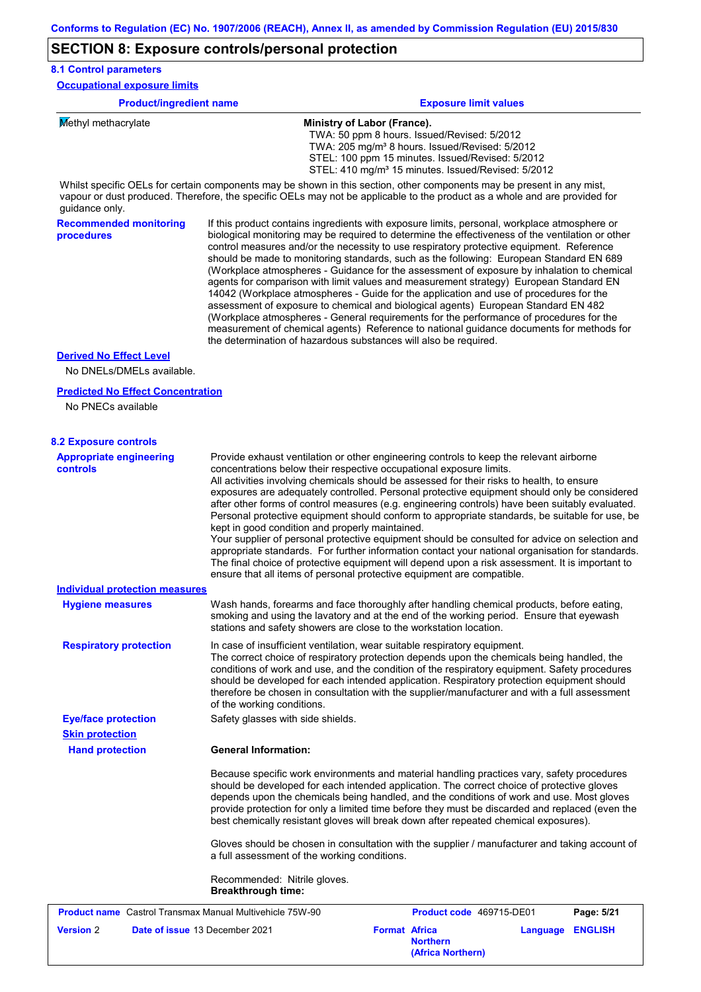# **SECTION 8: Exposure controls/personal protection**

| <b>8.1 Control parameters</b>                               |                                                                                                                                                                                                                                                                                                                                                                                                                                                                                                                                                                                                                                                                                                                                                                                                                                                                                                                                                                                                                            |
|-------------------------------------------------------------|----------------------------------------------------------------------------------------------------------------------------------------------------------------------------------------------------------------------------------------------------------------------------------------------------------------------------------------------------------------------------------------------------------------------------------------------------------------------------------------------------------------------------------------------------------------------------------------------------------------------------------------------------------------------------------------------------------------------------------------------------------------------------------------------------------------------------------------------------------------------------------------------------------------------------------------------------------------------------------------------------------------------------|
| <b>Occupational exposure limits</b>                         |                                                                                                                                                                                                                                                                                                                                                                                                                                                                                                                                                                                                                                                                                                                                                                                                                                                                                                                                                                                                                            |
| <b>Product/ingredient name</b>                              | <b>Exposure limit values</b>                                                                                                                                                                                                                                                                                                                                                                                                                                                                                                                                                                                                                                                                                                                                                                                                                                                                                                                                                                                               |
| Methyl methacrylate                                         | Ministry of Labor (France).<br>TWA: 50 ppm 8 hours. Issued/Revised: 5/2012<br>TWA: 205 mg/m <sup>3</sup> 8 hours. Issued/Revised: 5/2012<br>STEL: 100 ppm 15 minutes. Issued/Revised: 5/2012<br>STEL: 410 mg/m <sup>3</sup> 15 minutes. Issued/Revised: 5/2012<br>Whilst specific OELs for certain components may be shown in this section, other components may be present in any mist,                                                                                                                                                                                                                                                                                                                                                                                                                                                                                                                                                                                                                                   |
| guidance only.                                              | vapour or dust produced. Therefore, the specific OELs may not be applicable to the product as a whole and are provided for                                                                                                                                                                                                                                                                                                                                                                                                                                                                                                                                                                                                                                                                                                                                                                                                                                                                                                 |
| <b>Recommended monitoring</b><br>procedures                 | If this product contains ingredients with exposure limits, personal, workplace atmosphere or<br>biological monitoring may be required to determine the effectiveness of the ventilation or other<br>control measures and/or the necessity to use respiratory protective equipment. Reference<br>should be made to monitoring standards, such as the following: European Standard EN 689<br>(Workplace atmospheres - Guidance for the assessment of exposure by inhalation to chemical<br>agents for comparison with limit values and measurement strategy) European Standard EN<br>14042 (Workplace atmospheres - Guide for the application and use of procedures for the<br>assessment of exposure to chemical and biological agents) European Standard EN 482<br>(Workplace atmospheres - General requirements for the performance of procedures for the<br>measurement of chemical agents) Reference to national guidance documents for methods for<br>the determination of hazardous substances will also be required. |
| <b>Derived No Effect Level</b><br>No DNELs/DMELs available. |                                                                                                                                                                                                                                                                                                                                                                                                                                                                                                                                                                                                                                                                                                                                                                                                                                                                                                                                                                                                                            |
| <b>Predicted No Effect Concentration</b>                    |                                                                                                                                                                                                                                                                                                                                                                                                                                                                                                                                                                                                                                                                                                                                                                                                                                                                                                                                                                                                                            |
| No PNECs available                                          |                                                                                                                                                                                                                                                                                                                                                                                                                                                                                                                                                                                                                                                                                                                                                                                                                                                                                                                                                                                                                            |
| <b>8.2 Exposure controls</b>                                |                                                                                                                                                                                                                                                                                                                                                                                                                                                                                                                                                                                                                                                                                                                                                                                                                                                                                                                                                                                                                            |
| <b>Appropriate engineering</b><br><b>controls</b>           | Provide exhaust ventilation or other engineering controls to keep the relevant airborne<br>concentrations below their respective occupational exposure limits.<br>All activities involving chemicals should be assessed for their risks to health, to ensure<br>exposures are adequately controlled. Personal protective equipment should only be considered<br>after other forms of control measures (e.g. engineering controls) have been suitably evaluated.<br>Personal protective equipment should conform to appropriate standards, be suitable for use, be<br>kept in good condition and properly maintained.<br>Your supplier of personal protective equipment should be consulted for advice on selection and<br>appropriate standards. For further information contact your national organisation for standards.<br>The final choice of protective equipment will depend upon a risk assessment. It is important to<br>ensure that all items of personal protective equipment are compatible.                    |
| <b>Individual protection measures</b>                       |                                                                                                                                                                                                                                                                                                                                                                                                                                                                                                                                                                                                                                                                                                                                                                                                                                                                                                                                                                                                                            |
| <b>Hygiene measures</b>                                     | Wash hands, forearms and face thoroughly after handling chemical products, before eating,<br>smoking and using the lavatory and at the end of the working period. Ensure that eyewash<br>stations and safety showers are close to the workstation location.                                                                                                                                                                                                                                                                                                                                                                                                                                                                                                                                                                                                                                                                                                                                                                |
| <b>Respiratory protection</b>                               | In case of insufficient ventilation, wear suitable respiratory equipment.<br>The correct choice of respiratory protection depends upon the chemicals being handled, the<br>conditions of work and use, and the condition of the respiratory equipment. Safety procedures<br>should be developed for each intended application. Respiratory protection equipment should<br>therefore be chosen in consultation with the supplier/manufacturer and with a full assessment<br>of the working conditions.                                                                                                                                                                                                                                                                                                                                                                                                                                                                                                                      |
| <b>Eye/face protection</b>                                  | Safety glasses with side shields.                                                                                                                                                                                                                                                                                                                                                                                                                                                                                                                                                                                                                                                                                                                                                                                                                                                                                                                                                                                          |
| <b>Skin protection</b>                                      |                                                                                                                                                                                                                                                                                                                                                                                                                                                                                                                                                                                                                                                                                                                                                                                                                                                                                                                                                                                                                            |
| <b>Hand protection</b>                                      | <b>General Information:</b>                                                                                                                                                                                                                                                                                                                                                                                                                                                                                                                                                                                                                                                                                                                                                                                                                                                                                                                                                                                                |
|                                                             | Because specific work environments and material handling practices vary, safety procedures<br>should be developed for each intended application. The correct choice of protective gloves<br>depends upon the chemicals being handled, and the conditions of work and use. Most gloves<br>provide protection for only a limited time before they must be discarded and replaced (even the<br>best chemically resistant gloves will break down after repeated chemical exposures).                                                                                                                                                                                                                                                                                                                                                                                                                                                                                                                                           |
|                                                             | Gloves should be chosen in consultation with the supplier / manufacturer and taking account of<br>a full assessment of the working conditions.                                                                                                                                                                                                                                                                                                                                                                                                                                                                                                                                                                                                                                                                                                                                                                                                                                                                             |
|                                                             | Recommended: Nitrile gloves.                                                                                                                                                                                                                                                                                                                                                                                                                                                                                                                                                                                                                                                                                                                                                                                                                                                                                                                                                                                               |

**Breakthrough time:**

| <b>Product name</b> Castrol Transmax Manual Multivehicle 75W-90 |                                       | <b>Product code</b> 469715-DE01 |                                      | Page: 5/21 |                         |
|-----------------------------------------------------------------|---------------------------------------|---------------------------------|--------------------------------------|------------|-------------------------|
| <b>Version 2</b>                                                | <b>Date of issue 13 December 2021</b> | <b>Format Africa</b>            | <b>Northern</b><br>(Africa Northern) |            | <b>Language ENGLISH</b> |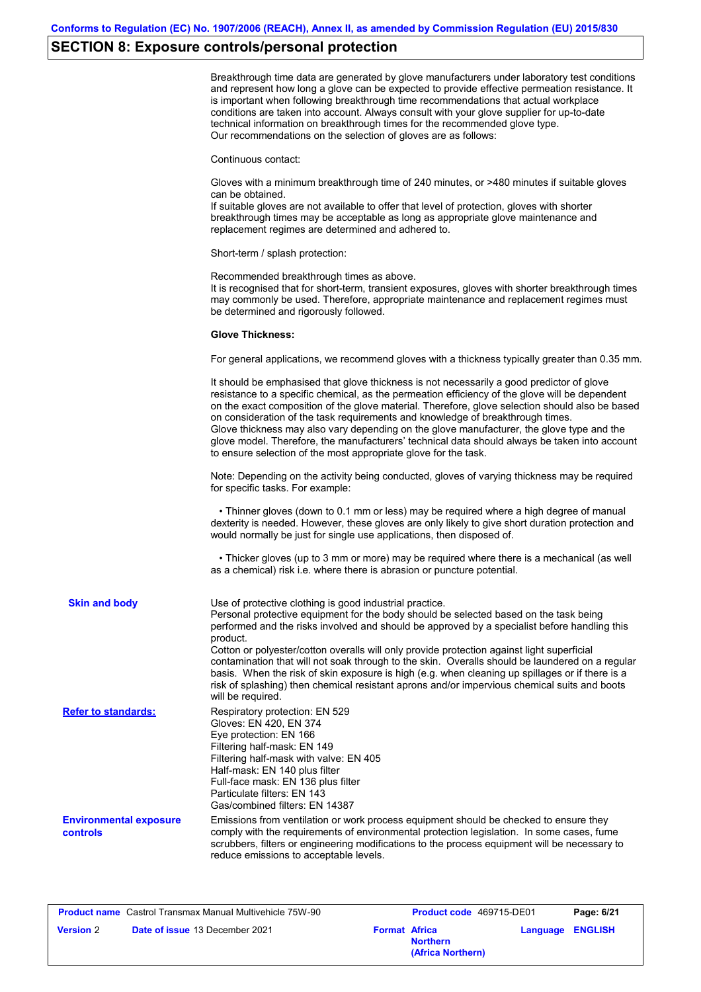# **SECTION 8: Exposure controls/personal protection**

|                                           | Breakthrough time data are generated by glove manufacturers under laboratory test conditions<br>and represent how long a glove can be expected to provide effective permeation resistance. It<br>is important when following breakthrough time recommendations that actual workplace<br>conditions are taken into account. Always consult with your glove supplier for up-to-date<br>technical information on breakthrough times for the recommended glove type.<br>Our recommendations on the selection of gloves are as follows:                                                                                                                               |
|-------------------------------------------|------------------------------------------------------------------------------------------------------------------------------------------------------------------------------------------------------------------------------------------------------------------------------------------------------------------------------------------------------------------------------------------------------------------------------------------------------------------------------------------------------------------------------------------------------------------------------------------------------------------------------------------------------------------|
|                                           | Continuous contact:                                                                                                                                                                                                                                                                                                                                                                                                                                                                                                                                                                                                                                              |
|                                           | Gloves with a minimum breakthrough time of 240 minutes, or >480 minutes if suitable gloves<br>can be obtained.<br>If suitable gloves are not available to offer that level of protection, gloves with shorter<br>breakthrough times may be acceptable as long as appropriate glove maintenance and<br>replacement regimes are determined and adhered to.                                                                                                                                                                                                                                                                                                         |
|                                           | Short-term / splash protection:                                                                                                                                                                                                                                                                                                                                                                                                                                                                                                                                                                                                                                  |
|                                           | Recommended breakthrough times as above.<br>It is recognised that for short-term, transient exposures, gloves with shorter breakthrough times<br>may commonly be used. Therefore, appropriate maintenance and replacement regimes must<br>be determined and rigorously followed.                                                                                                                                                                                                                                                                                                                                                                                 |
|                                           | <b>Glove Thickness:</b>                                                                                                                                                                                                                                                                                                                                                                                                                                                                                                                                                                                                                                          |
|                                           | For general applications, we recommend gloves with a thickness typically greater than 0.35 mm.                                                                                                                                                                                                                                                                                                                                                                                                                                                                                                                                                                   |
|                                           | It should be emphasised that glove thickness is not necessarily a good predictor of glove<br>resistance to a specific chemical, as the permeation efficiency of the glove will be dependent<br>on the exact composition of the glove material. Therefore, glove selection should also be based<br>on consideration of the task requirements and knowledge of breakthrough times.<br>Glove thickness may also vary depending on the glove manufacturer, the glove type and the<br>glove model. Therefore, the manufacturers' technical data should always be taken into account<br>to ensure selection of the most appropriate glove for the task.                |
|                                           | Note: Depending on the activity being conducted, gloves of varying thickness may be required<br>for specific tasks. For example:                                                                                                                                                                                                                                                                                                                                                                                                                                                                                                                                 |
|                                           | • Thinner gloves (down to 0.1 mm or less) may be required where a high degree of manual<br>dexterity is needed. However, these gloves are only likely to give short duration protection and<br>would normally be just for single use applications, then disposed of.                                                                                                                                                                                                                                                                                                                                                                                             |
|                                           | • Thicker gloves (up to 3 mm or more) may be required where there is a mechanical (as well<br>as a chemical) risk i.e. where there is abrasion or puncture potential.                                                                                                                                                                                                                                                                                                                                                                                                                                                                                            |
| <b>Skin and body</b>                      | Use of protective clothing is good industrial practice.<br>Personal protective equipment for the body should be selected based on the task being<br>performed and the risks involved and should be approved by a specialist before handling this<br>product.<br>Cotton or polyester/cotton overalls will only provide protection against light superficial<br>contamination that will not soak through to the skin. Overalls should be laundered on a regular<br>basis. When the risk of skin exposure is high (e.g. when cleaning up spillages or if there is a<br>risk of splashing) then chemical resistant aprons and/or impervious chemical suits and boots |
| <b>Refer to standards:</b>                | will be required.<br>Respiratory protection: EN 529<br>Gloves: EN 420, EN 374<br>Eye protection: EN 166<br>Filtering half-mask: EN 149<br>Filtering half-mask with valve: EN 405<br>Half-mask: EN 140 plus filter<br>Full-face mask: EN 136 plus filter<br>Particulate filters: EN 143<br>Gas/combined filters: EN 14387                                                                                                                                                                                                                                                                                                                                         |
| <b>Environmental exposure</b><br>controls | Emissions from ventilation or work process equipment should be checked to ensure they<br>comply with the requirements of environmental protection legislation. In some cases, fume<br>scrubbers, filters or engineering modifications to the process equipment will be necessary to<br>reduce emissions to acceptable levels.                                                                                                                                                                                                                                                                                                                                    |
|                                           |                                                                                                                                                                                                                                                                                                                                                                                                                                                                                                                                                                                                                                                                  |

| <b>Product name</b> Castrol Transmax Manual Multivehicle 75W-90 |  | <b>Product code</b> 469715-DE01 |                                      | Page: 6/21 |                |
|-----------------------------------------------------------------|--|---------------------------------|--------------------------------------|------------|----------------|
| <b>Version 2</b><br><b>Date of issue 13 December 2021</b>       |  | <b>Format Africa</b>            | <b>Northern</b><br>(Africa Northern) | Language   | <b>ENGLISH</b> |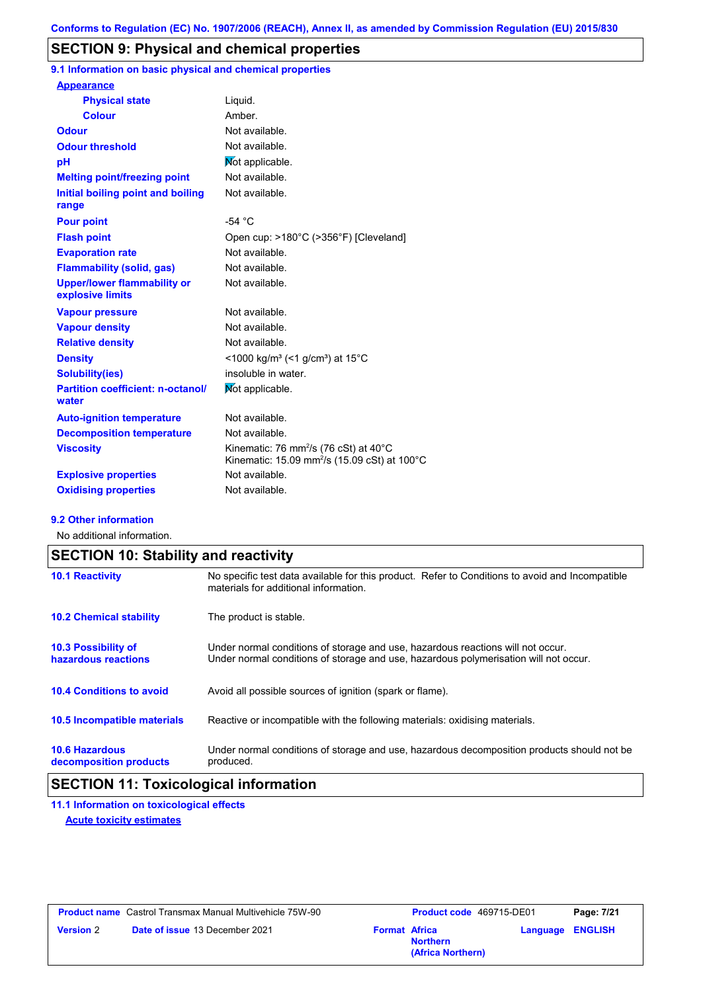# **SECTION 9: Physical and chemical properties**

**9.1 Information on basic physical and chemical properties**

| <b>Appearance</b>                                      |                                                                                                                                    |
|--------------------------------------------------------|------------------------------------------------------------------------------------------------------------------------------------|
| <b>Physical state</b>                                  | Liquid.                                                                                                                            |
| <b>Colour</b>                                          | Amber                                                                                                                              |
| <b>Odour</b>                                           | Not available.                                                                                                                     |
| <b>Odour threshold</b>                                 | Not available.                                                                                                                     |
| рH                                                     | Mot applicable.                                                                                                                    |
| <b>Melting point/freezing point</b>                    | Not available.                                                                                                                     |
| Initial boiling point and boiling<br>range             | Not available.                                                                                                                     |
| <b>Pour point</b>                                      | $-54 °C$                                                                                                                           |
| <b>Flash point</b>                                     | Open cup: >180°C (>356°F) [Cleveland]                                                                                              |
| <b>Evaporation rate</b>                                | Not available.                                                                                                                     |
| <b>Flammability (solid, gas)</b>                       | Not available.                                                                                                                     |
| <b>Upper/lower flammability or</b><br>explosive limits | Not available.                                                                                                                     |
| <b>Vapour pressure</b>                                 | Not available.                                                                                                                     |
| <b>Vapour density</b>                                  | Not available.                                                                                                                     |
| <b>Relative density</b>                                | Not available.                                                                                                                     |
| <b>Density</b>                                         | <1000 kg/m <sup>3</sup> (<1 g/cm <sup>3</sup> ) at 15 <sup>°</sup> C                                                               |
| <b>Solubility(ies)</b>                                 | insoluble in water.                                                                                                                |
| <b>Partition coefficient: n-octanol/</b><br>water      | Mot applicable.                                                                                                                    |
| <b>Auto-ignition temperature</b>                       | Not available.                                                                                                                     |
| <b>Decomposition temperature</b>                       | Not available.                                                                                                                     |
| <b>Viscosity</b>                                       | Kinematic: 76 mm <sup>2</sup> /s (76 cSt) at $40^{\circ}$ C<br>Kinematic: 15.09 mm <sup>2</sup> /s (15.09 cSt) at 100 $^{\circ}$ C |
| <b>Explosive properties</b>                            | Not available.                                                                                                                     |
| <b>Oxidising properties</b>                            | Not available.                                                                                                                     |
|                                                        |                                                                                                                                    |

#### **9.2 Other information**

No additional information.

| <b>SECTION 10: Stability and reactivity</b>       |                                                                                                                                                                         |  |
|---------------------------------------------------|-------------------------------------------------------------------------------------------------------------------------------------------------------------------------|--|
| <b>10.1 Reactivity</b>                            | No specific test data available for this product. Refer to Conditions to avoid and Incompatible<br>materials for additional information.                                |  |
| <b>10.2 Chemical stability</b>                    | The product is stable.                                                                                                                                                  |  |
| <b>10.3 Possibility of</b><br>hazardous reactions | Under normal conditions of storage and use, hazardous reactions will not occur.<br>Under normal conditions of storage and use, hazardous polymerisation will not occur. |  |
| <b>10.4 Conditions to avoid</b>                   | Avoid all possible sources of ignition (spark or flame).                                                                                                                |  |
| 10.5 Incompatible materials                       | Reactive or incompatible with the following materials: oxidising materials.                                                                                             |  |
| <b>10.6 Hazardous</b><br>decomposition products   | Under normal conditions of storage and use, hazardous decomposition products should not be<br>produced.                                                                 |  |

# **SECTION 11: Toxicological information**

# **11.1 Information on toxicological effects**

**Acute toxicity estimates**

|                  | <b>Product name</b> Castrol Transmax Manual Multivehicle 75W-90 |                      | <b>Product code</b> 469715-DE01      |                         | Page: 7/21 |
|------------------|-----------------------------------------------------------------|----------------------|--------------------------------------|-------------------------|------------|
| <b>Version 2</b> | <b>Date of issue 13 December 2021</b>                           | <b>Format Africa</b> | <b>Northern</b><br>(Africa Northern) | <b>Language ENGLISH</b> |            |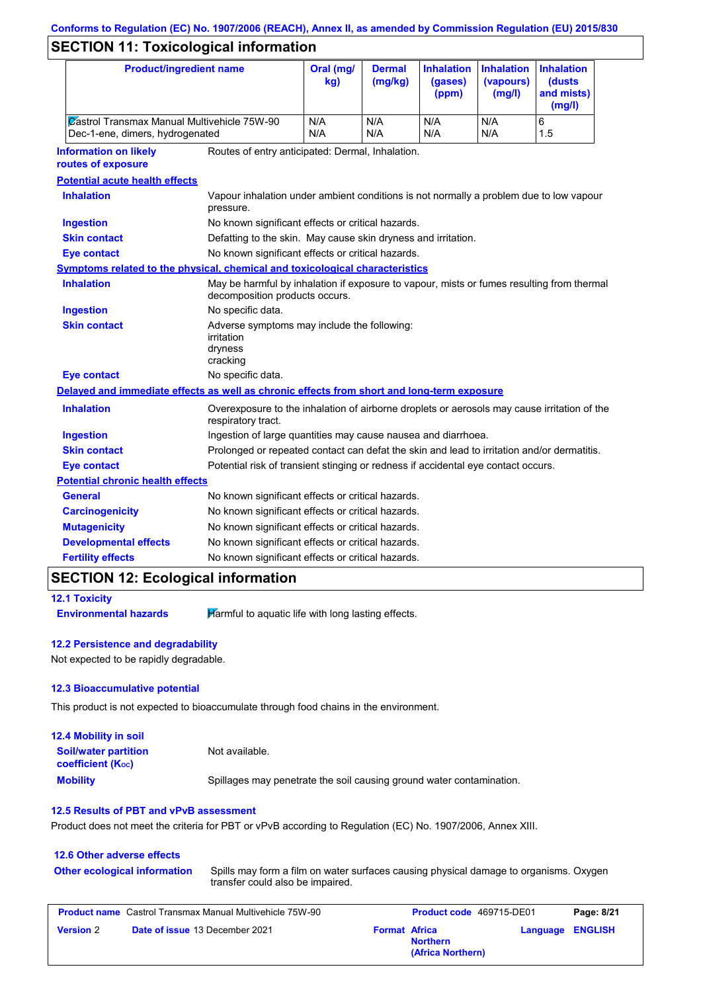# **SECTION 11: Toxicological information**

|                                                                                                        | <b>Product/ingredient name</b>                                                                          |                                                                                                                             | Oral (mg/<br>kg) | <b>Dermal</b><br>(mg/kg) | <b>Inhalation</b><br>(gases)<br>(ppm) | <b>Inhalation</b><br>(vapours)<br>(mg/l) | <b>Inhalation</b><br>(dusts<br>and mists)<br>(mg/l) |
|--------------------------------------------------------------------------------------------------------|---------------------------------------------------------------------------------------------------------|-----------------------------------------------------------------------------------------------------------------------------|------------------|--------------------------|---------------------------------------|------------------------------------------|-----------------------------------------------------|
|                                                                                                        | Castrol Transmax Manual Multivehicle 75W-90<br>Dec-1-ene, dimers, hydrogenated                          |                                                                                                                             | N/A<br>N/A       | N/A<br>N/A               | N/A<br>N/A                            | N/A<br>N/A                               | 6<br>1.5                                            |
| <b>Information on likely</b><br>Routes of entry anticipated: Dermal, Inhalation.<br>routes of exposure |                                                                                                         |                                                                                                                             |                  |                          |                                       |                                          |                                                     |
|                                                                                                        | <b>Potential acute health effects</b>                                                                   |                                                                                                                             |                  |                          |                                       |                                          |                                                     |
|                                                                                                        | <b>Inhalation</b>                                                                                       | Vapour inhalation under ambient conditions is not normally a problem due to low vapour<br>pressure.                         |                  |                          |                                       |                                          |                                                     |
|                                                                                                        | <b>Ingestion</b>                                                                                        | No known significant effects or critical hazards.                                                                           |                  |                          |                                       |                                          |                                                     |
|                                                                                                        | <b>Skin contact</b>                                                                                     | Defatting to the skin. May cause skin dryness and irritation.                                                               |                  |                          |                                       |                                          |                                                     |
|                                                                                                        | <b>Eye contact</b>                                                                                      | No known significant effects or critical hazards.                                                                           |                  |                          |                                       |                                          |                                                     |
|                                                                                                        | Symptoms related to the physical, chemical and toxicological characteristics                            |                                                                                                                             |                  |                          |                                       |                                          |                                                     |
|                                                                                                        | <b>Inhalation</b>                                                                                       | May be harmful by inhalation if exposure to vapour, mists or fumes resulting from thermal<br>decomposition products occurs. |                  |                          |                                       |                                          |                                                     |
|                                                                                                        | <b>Ingestion</b>                                                                                        | No specific data.                                                                                                           |                  |                          |                                       |                                          |                                                     |
|                                                                                                        | <b>Skin contact</b>                                                                                     | Adverse symptoms may include the following:<br>irritation<br>dryness<br>cracking                                            |                  |                          |                                       |                                          |                                                     |
|                                                                                                        | <b>Eye contact</b>                                                                                      | No specific data.                                                                                                           |                  |                          |                                       |                                          |                                                     |
|                                                                                                        | Delayed and immediate effects as well as chronic effects from short and long-term exposure              |                                                                                                                             |                  |                          |                                       |                                          |                                                     |
|                                                                                                        | <b>Inhalation</b>                                                                                       | Overexposure to the inhalation of airborne droplets or aerosols may cause irritation of the<br>respiratory tract.           |                  |                          |                                       |                                          |                                                     |
|                                                                                                        | <b>Ingestion</b>                                                                                        | Ingestion of large quantities may cause nausea and diarrhoea.                                                               |                  |                          |                                       |                                          |                                                     |
|                                                                                                        | <b>Skin contact</b>                                                                                     | Prolonged or repeated contact can defat the skin and lead to irritation and/or dermatitis.                                  |                  |                          |                                       |                                          |                                                     |
|                                                                                                        | Potential risk of transient stinging or redness if accidental eye contact occurs.<br><b>Eye contact</b> |                                                                                                                             |                  |                          |                                       |                                          |                                                     |
|                                                                                                        | <b>Potential chronic health effects</b>                                                                 |                                                                                                                             |                  |                          |                                       |                                          |                                                     |
|                                                                                                        | General                                                                                                 | No known significant effects or critical hazards.                                                                           |                  |                          |                                       |                                          |                                                     |
|                                                                                                        | <b>Carcinogenicity</b>                                                                                  | No known significant effects or critical hazards.                                                                           |                  |                          |                                       |                                          |                                                     |
|                                                                                                        | <b>Mutagenicity</b>                                                                                     | No known significant effects or critical hazards.                                                                           |                  |                          |                                       |                                          |                                                     |
|                                                                                                        | <b>Developmental effects</b>                                                                            | No known significant effects or critical hazards.                                                                           |                  |                          |                                       |                                          |                                                     |
|                                                                                                        | <b>Fertility effects</b><br>No known significant effects or critical hazards.                           |                                                                                                                             |                  |                          |                                       |                                          |                                                     |
|                                                                                                        |                                                                                                         |                                                                                                                             |                  |                          |                                       |                                          |                                                     |

## **SECTION 12: Ecological information**

**12.1 Toxicity Environmental hazards Harmful to aquatic life with long lasting effects.** 

## **12.2 Persistence and degradability**

Not expected to be rapidly degradable.

#### **12.3 Bioaccumulative potential**

This product is not expected to bioaccumulate through food chains in the environment.

| <b>12.4 Mobility in soil</b>                                  |                                                                      |
|---------------------------------------------------------------|----------------------------------------------------------------------|
| <b>Soil/water partition</b><br>coefficient (K <sub>oc</sub> ) | Not available.                                                       |
| <b>Mobility</b>                                               | Spillages may penetrate the soil causing ground water contamination. |

#### **12.5 Results of PBT and vPvB assessment**

Product does not meet the criteria for PBT or vPvB according to Regulation (EC) No. 1907/2006, Annex XIII.

| <b>12.6 Other adverse effects</b>   |                                                                                                                           |
|-------------------------------------|---------------------------------------------------------------------------------------------------------------------------|
| <b>Other ecological information</b> | Spills may form a film on water surfaces causing physical damage to organisms. Oxygen<br>transfer could also be impaired. |

|                  | <b>Product name</b> Castrol Transmax Manual Multivehicle 75W-90 |                      | <b>Product code</b> 469715-DE01      |                         | Page: 8/21 |
|------------------|-----------------------------------------------------------------|----------------------|--------------------------------------|-------------------------|------------|
| <b>Version 2</b> | <b>Date of issue 13 December 2021</b>                           | <b>Format Africa</b> | <b>Northern</b><br>(Africa Northern) | <b>Language ENGLISH</b> |            |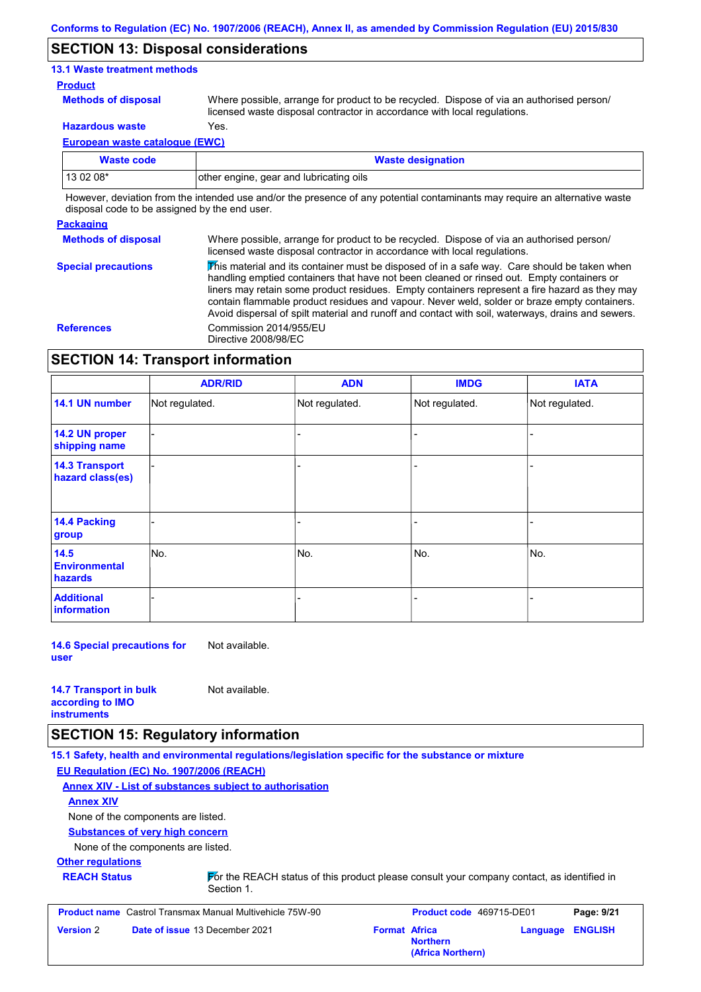## **SECTION 13: Disposal considerations**

#### **13.1 Waste treatment methods**

#### **Product**

**Methods of disposal**

Where possible, arrange for product to be recycled. Dispose of via an authorised person/ licensed waste disposal contractor in accordance with local regulations.

**Hazardous waste** Yes.

**European waste catalogue (EWC)**

| Waste code | <b>Waste designation</b>                |
|------------|-----------------------------------------|
| 13 02 08*  | other engine, gear and lubricating oils |

However, deviation from the intended use and/or the presence of any potential contaminants may require an alternative waste disposal code to be assigned by the end user.

#### **Packaging**

**Methods of disposal Special precautions** Where possible, arrange for product to be recycled. Dispose of via an authorised person/ licensed waste disposal contractor in accordance with local regulations.

 $\overline{\mathbf{\mathcal{V}}}$ his material and its container must be disposed of in a safe way. Care should be taken when handling emptied containers that have not been cleaned or rinsed out. Empty containers or liners may retain some product residues. Empty containers represent a fire hazard as they may contain flammable product residues and vapour. Never weld, solder or braze empty containers. Avoid dispersal of spilt material and runoff and contact with soil, waterways, drains and sewers. **References** Commission 2014/955/EU Directive 2008/98/EC

## **SECTION 14: Transport information**

|                                                | <b>ADR/RID</b> | <b>ADN</b>     | <b>IMDG</b>    | <b>IATA</b>    |
|------------------------------------------------|----------------|----------------|----------------|----------------|
| 14.1 UN number                                 | Not regulated. | Not regulated. | Not regulated. | Not regulated. |
| 14.2 UN proper<br>shipping name                |                |                |                |                |
| <b>14.3 Transport</b><br>hazard class(es)      |                |                |                |                |
| 14.4 Packing<br>group                          |                |                |                |                |
| 14.5<br><b>Environmental</b><br><b>hazards</b> | No.            | No.            | No.            | No.            |
| <b>Additional</b><br>information               |                |                |                |                |

**14.6 Special precautions for user** Not available.

| <b>14.7 Transport in bulk</b> | Not available. |
|-------------------------------|----------------|
| according to <b>IMO</b>       |                |
| <b>instruments</b>            |                |

## **SECTION 15: Regulatory information**

**15.1 Safety, health and environmental regulations/legislation specific for the substance or mixture EU Regulation (EC) No. 1907/2006 (REACH)**

**Annex XIV - List of substances subject to authorisation**

#### **Annex XIV**

None of the components are listed.

#### **Substances of very high concern**

None of the components are listed.

#### **Other regulations**

**REACH Status For the REACH status of this product please consult your company contact, as identified in** Section 1.

**Product name** Castrol Transmax Manual Multivehicle 75W-90 **Product code** 469715-DE01 **Page: 9/21 Version** 2 **Date of issue** 13 December 2021 **Format** Africa **Northern Language ENGLISH (Africa Northern)**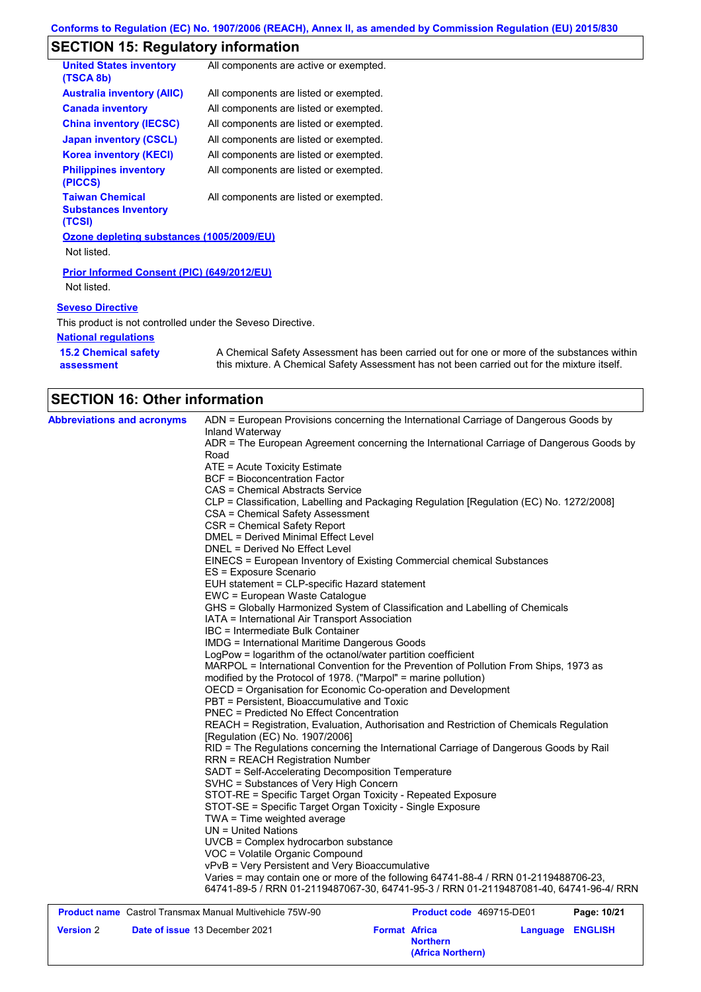# **SECTION 15: Regulatory information**

| <b>United States inventory</b><br>(TSCA 8b)                     | All components are active or exempted. |
|-----------------------------------------------------------------|----------------------------------------|
| <b>Australia inventory (AIIC)</b>                               | All components are listed or exempted. |
| <b>Canada inventory</b>                                         | All components are listed or exempted. |
| <b>China inventory (IECSC)</b>                                  | All components are listed or exempted. |
| <b>Japan inventory (CSCL)</b>                                   | All components are listed or exempted. |
| <b>Korea inventory (KECI)</b>                                   | All components are listed or exempted. |
| <b>Philippines inventory</b><br>(PICCS)                         | All components are listed or exempted. |
| <b>Taiwan Chemical</b><br><b>Substances Inventory</b><br>(TCSI) | All components are listed or exempted. |
| Ozone depleting substances (1005/2009/EU)                       |                                        |
| Not listed.                                                     |                                        |
|                                                                 |                                        |

**Prior Informed Consent (PIC) (649/2012/EU)** Not listed.

#### **Seveso Directive**

This product is not controlled under the Seveso Directive.

#### **National regulations**

| <b>15.2 Chemical safety</b> | A Chemical Safety Assessment has been carried out for one or more of the substances within  |
|-----------------------------|---------------------------------------------------------------------------------------------|
| assessment                  | this mixture. A Chemical Safety Assessment has not been carried out for the mixture itself. |

# **SECTION 16: Other information**

| <b>Abbreviations and acronyms</b>                               | Inland Waterway                                                 | ADN = European Provisions concerning the International Carriage of Dangerous Goods by    |             |
|-----------------------------------------------------------------|-----------------------------------------------------------------|------------------------------------------------------------------------------------------|-------------|
|                                                                 | Road                                                            | ADR = The European Agreement concerning the International Carriage of Dangerous Goods by |             |
|                                                                 | ATE = Acute Toxicity Estimate                                   |                                                                                          |             |
|                                                                 | <b>BCF</b> = Bioconcentration Factor                            |                                                                                          |             |
|                                                                 | CAS = Chemical Abstracts Service                                |                                                                                          |             |
|                                                                 |                                                                 | CLP = Classification, Labelling and Packaging Regulation [Regulation (EC) No. 1272/2008] |             |
|                                                                 | CSA = Chemical Safety Assessment                                |                                                                                          |             |
|                                                                 | CSR = Chemical Safety Report                                    |                                                                                          |             |
|                                                                 | DMEL = Derived Minimal Effect Level                             |                                                                                          |             |
|                                                                 | DNEL = Derived No Effect Level                                  |                                                                                          |             |
|                                                                 |                                                                 | EINECS = European Inventory of Existing Commercial chemical Substances                   |             |
|                                                                 | ES = Exposure Scenario                                          |                                                                                          |             |
|                                                                 | EUH statement = CLP-specific Hazard statement                   |                                                                                          |             |
|                                                                 | EWC = European Waste Catalogue                                  |                                                                                          |             |
|                                                                 |                                                                 | GHS = Globally Harmonized System of Classification and Labelling of Chemicals            |             |
|                                                                 | IATA = International Air Transport Association                  |                                                                                          |             |
|                                                                 | IBC = Intermediate Bulk Container                               |                                                                                          |             |
|                                                                 | <b>IMDG</b> = International Maritime Dangerous Goods            |                                                                                          |             |
|                                                                 | LogPow = logarithm of the octanol/water partition coefficient   |                                                                                          |             |
|                                                                 |                                                                 | MARPOL = International Convention for the Prevention of Pollution From Ships, 1973 as    |             |
|                                                                 | modified by the Protocol of 1978. ("Marpol" = marine pollution) |                                                                                          |             |
|                                                                 | OECD = Organisation for Economic Co-operation and Development   |                                                                                          |             |
|                                                                 | PBT = Persistent, Bioaccumulative and Toxic                     |                                                                                          |             |
|                                                                 | PNEC = Predicted No Effect Concentration                        |                                                                                          |             |
|                                                                 |                                                                 | REACH = Registration, Evaluation, Authorisation and Restriction of Chemicals Regulation  |             |
|                                                                 | [Regulation (EC) No. 1907/2006]                                 |                                                                                          |             |
|                                                                 |                                                                 | RID = The Regulations concerning the International Carriage of Dangerous Goods by Rail   |             |
|                                                                 | <b>RRN = REACH Registration Number</b>                          |                                                                                          |             |
|                                                                 | SADT = Self-Accelerating Decomposition Temperature              |                                                                                          |             |
|                                                                 | SVHC = Substances of Very High Concern                          |                                                                                          |             |
|                                                                 | STOT-RE = Specific Target Organ Toxicity - Repeated Exposure    |                                                                                          |             |
|                                                                 | STOT-SE = Specific Target Organ Toxicity - Single Exposure      |                                                                                          |             |
|                                                                 | TWA = Time weighted average                                     |                                                                                          |             |
|                                                                 | $UN = United Nations$                                           |                                                                                          |             |
|                                                                 | UVCB = Complex hydrocarbon substance                            |                                                                                          |             |
|                                                                 | VOC = Volatile Organic Compound                                 |                                                                                          |             |
|                                                                 | vPvB = Very Persistent and Very Bioaccumulative                 |                                                                                          |             |
|                                                                 |                                                                 | Varies = may contain one or more of the following 64741-88-4 / RRN 01-2119488706-23,     |             |
|                                                                 |                                                                 | 64741-89-5 / RRN 01-2119487067-30, 64741-95-3 / RRN 01-2119487081-40, 64741-96-4/ RRN    |             |
| <b>Product name</b> Castrol Transmax Manual Multivehicle 75W-90 |                                                                 | <b>Product code</b> 469715-DE01                                                          | Page: 10/21 |

| <b>Product name</b> Castrol Transmax Manual Multivehicle 75W-90 |                      |                                      | <b>Product code</b> 469715-DE01 |  |
|-----------------------------------------------------------------|----------------------|--------------------------------------|---------------------------------|--|
| <b>Version 2</b><br><b>Date of issue 13 December 2021</b>       | <b>Format Africa</b> | <b>Northern</b><br>(Africa Northern) | <b>Language ENGLISH</b>         |  |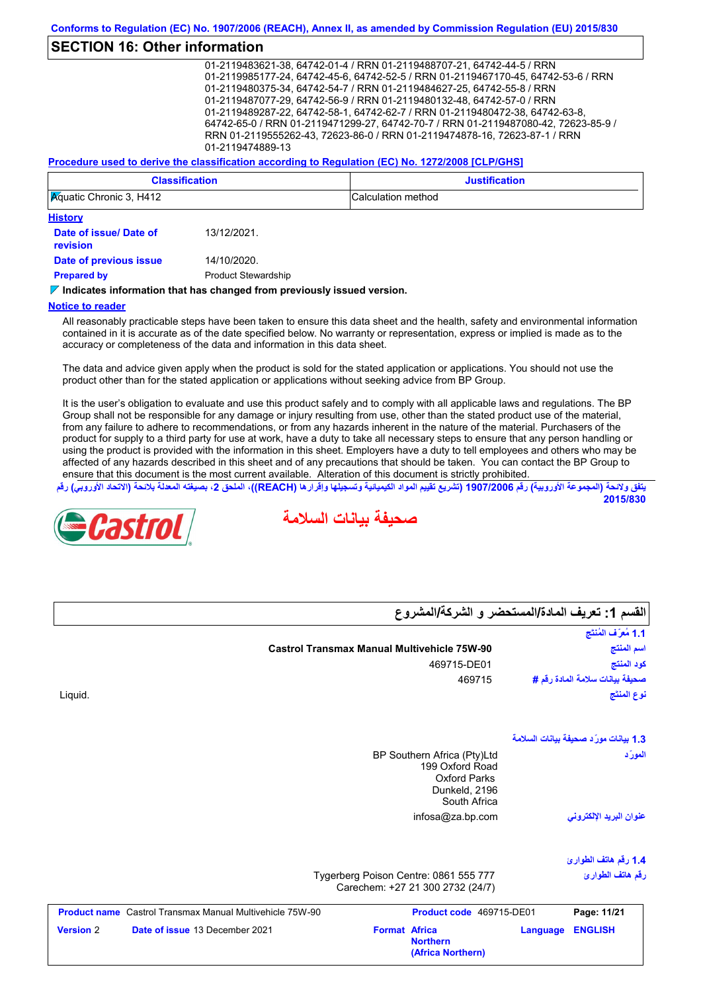## **SECTION 16: Other information**

01-2119483621-38, 64742-01-4 / RRN 01-2119488707-21, 64742-44-5 / RRN 01-2119985177-24, 64742-45-6, 64742-52-5 / RRN 01-2119467170-45, 64742-53-6 / RRN 01-2119480375-34, 64742-54-7 / RRN 01-2119484627-25, 64742-55-8 / RRN 01-2119487077-29, 64742-56-9 / RRN 01-2119480132-48, 64742-57-0 / RRN 01-2119489287-22, 64742-58-1, 64742-62-7 / RRN 01-2119480472-38, 64742-63-8, 64742-65-0 / RRN 01-2119471299-27, 64742-70-7 / RRN 01-2119487080-42, 72623-85-9 / RRN 01-2119555262-43, 72623-86-0 / RRN 01-2119474878-16, 72623-87-1 / RRN 01-2119474889-13

#### **Procedure used to derive the classification according to Regulation (EC) No. 1272/2008 [CLP/GHS]**

| <b>Classification</b>                      | <b>Justification</b> |
|--------------------------------------------|----------------------|
| <b>Aguatic Chronic 3, H412</b>             | Calculation method   |
| <b>History</b><br>- - -<br>1011010001<br>. |                      |

| Date of issue/ Date of<br><b>revision</b> | 13/12/2021.                |
|-------------------------------------------|----------------------------|
| Date of previous issue                    | 14/10/2020.                |
| <b>Prepared by</b>                        | <b>Product Stewardship</b> |

#### **Indicates information that has changed from previously issued version.**

#### **Notice to reader**

All reasonably practicable steps have been taken to ensure this data sheet and the health, safety and environmental information contained in it is accurate as of the date specified below. No warranty or representation, express or implied is made as to the accuracy or completeness of the data and information in this data sheet.

The data and advice given apply when the product is sold for the stated application or applications. You should not use the product other than for the stated application or applications without seeking advice from BP Group.

It is the user's obligation to evaluate and use this product safely and to comply with all applicable laws and regulations. The BP Group shall not be responsible for any damage or injury resulting from use, other than the stated product use of the material, from any failure to adhere to recommendations, or from any hazards inherent in the nature of the material. Purchasers of the product for supply to a third party for use at work, have a duty to take all necessary steps to ensure that any person handling or using the product is provided with the information in this sheet. Employers have a duty to tell employees and others who may be affected of any hazards described in this sheet and of any precautions that should be taken. You can contact the BP Group to ensure that this document is the most current available. Alteration of this document is strictly prohibited.

يتفق ولائحة (المجموعة الأوروبية) رقم 1907/2006 (تشريع تقييم المواد الكيميائية وتسجيلها وإقرارها (REACH)، الملحق 2، بصيغته المعدلة بلائحة (الاتحاد الأوروبي) رقم **2015/830**

**صحیفة بیانات السلامة**



#### صحيفة بيانات سلامة المادة ر**قم #**<br>نوع المنتَج<br>1.3 بيانات مورّد صحيفة بيانات السلامة<br>المورّد infosa@za.bp.com **1.4 رقم ھاتف الطوارئ** Tygerberg Poison Centre: 0861 555 777 Carechem: +27 21 300 2732 (24/7) BP Southern Africa (Pty)Ltd 199 Oxford Road Oxford Parks Dunkeld, 2196 South Africa نوع ال<br>**بور**َ<br>المورَد **عنوان البرید الإلكتروني رقم ھاتف الطوارئ Castrol Transmax Manual Multivehicle 75W-90** Liquid. 469715-DE01 469715 **اسم المنتج نوع المنتَج كود المنتج صحیفة بیانات سلامة المادة رقم #** ا**لقسم 1: تعر<br>القسم 1: تعر<br>اسم المنتج القسم :1 تعریف المادة/المستحضر و الشركة/المشروع Product name** Castrol Transmax Manual Multivehicle 75W-90 **Product code** 469715-DE01 **Page: 11/21 Page: 11/21 Version** 2 **Date of issue** 13 December 2021 **Format Africa Northern Language ENGLISH (Africa Northern)**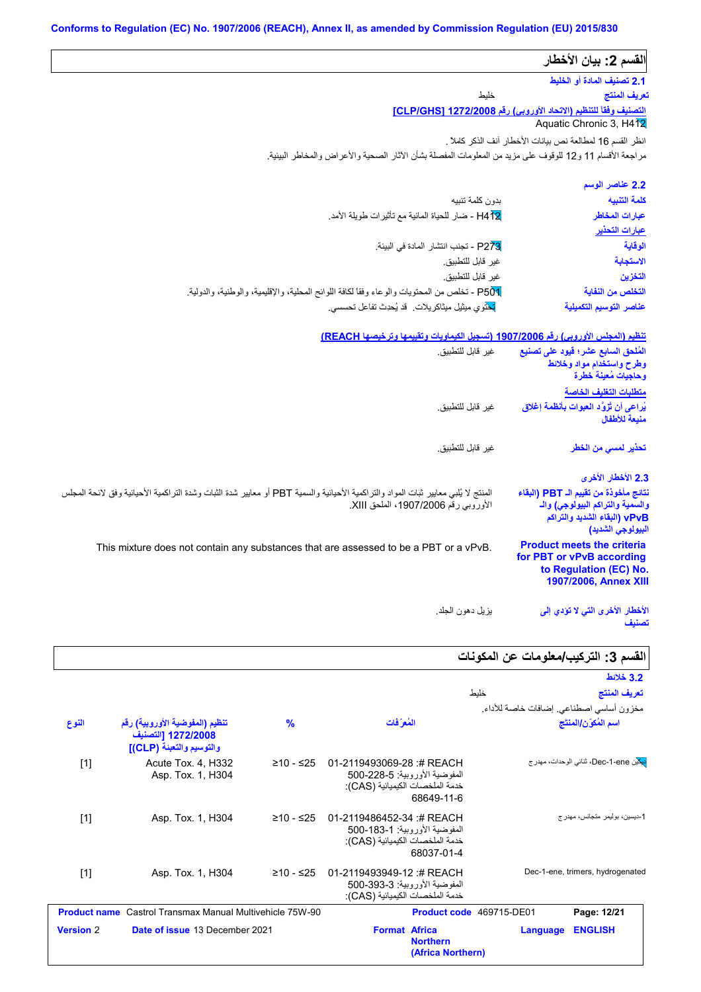|                                                                                                                                                                            | القسم 2: بيان الأخطار                                                                                                          |
|----------------------------------------------------------------------------------------------------------------------------------------------------------------------------|--------------------------------------------------------------------------------------------------------------------------------|
|                                                                                                                                                                            | 2.1 تصنيف المادة أو الخليط                                                                                                     |
| خليط                                                                                                                                                                       | تعريف المنتج                                                                                                                   |
|                                                                                                                                                                            | التصنيف وفقاً للتنظيم (الاتحاد الأوروبي) رقم CLP/GHS] 1272/2008                                                                |
|                                                                                                                                                                            | Aquatic Chronic 3, H4 2                                                                                                        |
|                                                                                                                                                                            | انظر القسم 16 لمطالعة نص بيانات الأخطار آنف الذكر كاملاً .                                                                     |
| مراجعة الأقسام 11 و12 للوقوف على مزيد من المعلومات المفصلة بشأن الأثار الصحية والأعراض والمخاطر البيئية                                                                    |                                                                                                                                |
|                                                                                                                                                                            | 2.2 عناصر الوسم                                                                                                                |
| بدون كلمة تتبيه                                                                                                                                                            | كلمة التنببه                                                                                                                   |
| H4 \2 - ضار للحياة المائية مع تأثيرات طويلة الأمد.                                                                                                                         | عبارات المخاطر                                                                                                                 |
|                                                                                                                                                                            | عبارات التحذير                                                                                                                 |
| P273 - تجنب انتشار المادة في البيئة.                                                                                                                                       | الوقاية                                                                                                                        |
| غير قابل للتطبيق.                                                                                                                                                          | الاستحابة                                                                                                                      |
| غير قابل للتطبيق.                                                                                                                                                          | التخزين                                                                                                                        |
| P50 ـ تخلص من المحتويات والوعاء وفقاً لكافة اللوائح المحلية، والإقليمية، والوطنية، والدولية.                                                                               | التخلص من النفاية                                                                                                              |
| <mark>تح</mark> توى ميثيل ميثاكريلات. قد يُحدِث تفاعل تحسسي.                                                                                                               | عناصر التوسيم التكميلية                                                                                                        |
| تنظيم (المجلس الأوروبي) رقم 1907/2006 (تسجيل الكيماويات وتقييمها وترخيصها REACH)                                                                                           |                                                                                                                                |
| غير قابل للتطبيق.                                                                                                                                                          | المُلحق السابع عشر؛ فَيود على تصنيع<br>وطرح واستخدام مواد وخلائط<br>وحاجيات مُعينة خطرة                                        |
|                                                                                                                                                                            | متطلبات التغليف الخاصة                                                                                                         |
| غير قابل للتطبيق.                                                                                                                                                          | يُراعى أن تُزوَّد العبوات بِأنظمة إغلاق<br>منبعة للأطفال                                                                       |
| غير  قابل للتطبيق.                                                                                                                                                         | تحذير لمسى من الخطر                                                                                                            |
|                                                                                                                                                                            | 2.3 الأخطار الأخرى                                                                                                             |
| المنتج لا يُلبي معايير ثبات المواد والتراكمية الأحيائية والسمية PBT أو معايير شدة الثبات وشدة التراكمية الأحيائية وفق لانحة المجلس<br>الأوروبي رقم 1907/2006، الملحق XIII. | نتائج مأخوذة من تقييم الـ PBT (البقاء<br>والسمية والتراكم البيولوجي) والـ<br>vPvB (البقاء الشديد والتراكم<br>البيولوجي الشديد) |
| This mixture does not contain any substances that are assessed to be a PBT or a vPvB.                                                                                      | <b>Product meets the criteria</b><br>for PBT or vPvB according<br>to Regulation (EC) No.<br>1907/2006, Annex XIII              |
|                                                                                                                                                                            |                                                                                                                                |

**تصنیف**

# القسم 3: التركيب/*معلو*مات عن المكونات

|                  |                                                                                                   |                                                                                                             | 3.2 خلائط                                            |  |  |
|------------------|---------------------------------------------------------------------------------------------------|-------------------------------------------------------------------------------------------------------------|------------------------------------------------------|--|--|
|                  |                                                                                                   |                                                                                                             | خليط<br>تعريف المنتج                                 |  |  |
|                  |                                                                                                   |                                                                                                             | مخزون أساسي اصطناعي إضافات خاصة للأداء               |  |  |
| النوع            | $\frac{9}{6}$<br>تنظيم (المفوضية الأوروبية) رقم<br>1272/2008 [التصنيف<br>والتوسيم والتعبئة (CLP)] | المُعرَفات                                                                                                  | اسم المُكوّن/المنتَج                                 |  |  |
| $[1]$            | Acute Tox. 4, H332<br>≥10 - ≤25<br>Asp. Tox. 1, H304                                              | 01-2119493069-28:# REACH<br>المفوضية الأور وبية: 5-228-500<br>خدمة الملخصات الكيميائية (CAS):<br>68649-11-6 | <mark>بيك</mark> ين Dec-1-ene، ثنائي الوحدات، مهدر ج |  |  |
| $[1]$            | Asp. Tox. 1, H304<br>≥10 - ≤25                                                                    | 01-2119486452-34 :# REACH<br>المفوضية الأوروبية: 1-183-500<br>خدمة الملخصات الكيميائية (CAS):<br>68037-01-4 | 1-ديسين، بوليمر متجانس، مهدر ج                       |  |  |
| $[1]$            | Asp. Tox. 1, H304<br>≥10 - ≤25                                                                    | 01-2119493949-12 :# REACH<br>المفوضية الأوروبية: 3-393-500<br>خدمة الملخصات الكيميائية (CAS):               | Dec-1-ene, trimers, hydrogenated                     |  |  |
|                  | <b>Product name</b> Castrol Transmax Manual Multivehicle 75W-90                                   |                                                                                                             | Product code 469715-DE01<br>Page: 12/21              |  |  |
| <b>Version 2</b> | Date of issue 13 December 2021                                                                    | <b>Format Africa</b><br><b>Northern</b><br>(Africa Northern)                                                | <b>ENGLISH</b><br><b>Language</b>                    |  |  |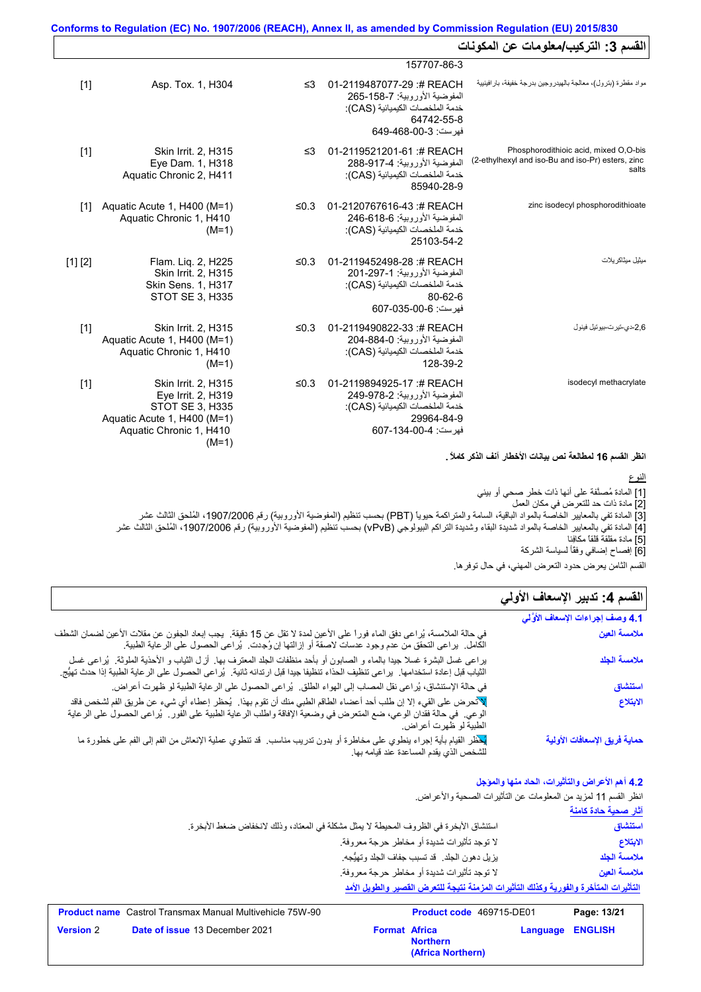| القسم 3: التركيب/معلومات عن المكونات                                                                |                                                                                                                                     |            |                                                                                                                                   |         |
|-----------------------------------------------------------------------------------------------------|-------------------------------------------------------------------------------------------------------------------------------------|------------|-----------------------------------------------------------------------------------------------------------------------------------|---------|
|                                                                                                     | 157707-86-3                                                                                                                         |            |                                                                                                                                   |         |
| مواد مقطرة (بترول)، معالجة بالهيدر وجين بدرجة خفيفة، بار افينيية                                    | 01-2119487077-29 :# REACH<br>المفوضية الأور وبية: 7-158-265<br>خدمة الملخصات الكيميائية (CAS):<br>64742-55-8<br>فهرست: 3-00-649-649 | ≤3         | Asp. Tox. 1, H304                                                                                                                 | $[1]$   |
| Phosphorodithioic acid, mixed O,O-bis<br>(2-ethylhexyl and iso-Bu and iso-Pr) esters, zinc<br>salts | 01-2119521201-61 :# REACH<br>المفوضية الأور وبية: 917-4-288<br>خدمة الملخصات الكيميائية (CAS):<br>85940-28-9                        | ≤3         | Skin Irrit. 2, H315<br>Eye Dam. 1, H318<br>Aquatic Chronic 2, H411                                                                | $[1]$   |
| zinc isodecyl phosphorodithioate                                                                    | 01-2120767616-43:#REACH<br>المفوضية الأوروبية: 618-616-246<br>خدمة الملخصات الكيميائية (CAS):<br>25103-54-2                         | ≤0.3       | Aquatic Acute 1, H400 (M=1)<br>Aquatic Chronic 1, H410<br>$(M=1)$                                                                 | $[1]$   |
| مبثبل مبثاكر بلات                                                                                   | 01-2119452498-28 :# REACH<br>المفوضية الأوروبية: 1-297-201<br>خدمة الملخصات الكيميائية (CAS):<br>80-62-6<br>فهر ست: 6-00-035-607    | $\leq 0.3$ | Flam. Lig. 2, H225<br>Skin Irrit. 2, H315<br><b>Skin Sens. 1, H317</b><br><b>STOT SE 3, H335</b>                                  | [1] [2] |
| 2,6-دي-تير ت-بيو تيل فينول                                                                          | 01-2119490822-33 :# REACH<br>المفوضية الأور وبية: 1-884-204<br>خدمة الملخصات الكيميائية (CAS):<br>128-39-2                          | $\leq 0.3$ | Skin Irrit. 2, H315<br>Aquatic Acute 1, H400 (M=1)<br>Aquatic Chronic 1, H410<br>$(M=1)$                                          | $[1]$   |
| isodecyl methacrylate                                                                               | 01-2119894925-17 :# REACH<br>المفوضية الأور وبية: 2-978-249<br>خدمة الملخصات الكيميائية (CAS):<br>29964-84-9<br>فهرست: 4-00-134-607 | ≤0.3       | Skin Irrit. 2, H315<br>Eye Irrit. 2, H319<br>STOT SE 3, H335<br>Aquatic Acute 1, H400 (M=1)<br>Aquatic Chronic 1, H410<br>$(M=1)$ | $[1]$   |

**انظر القسم 16 لمطالعة نص بیانات الأخطار آنف الذكر كاملاً .**

[1] المادة مُصنَّفة على أنھا ذات خطر صحي أو بیئي [2] مادة ذات حد للتعرض في مكان العمل [3] المادة تفي بالمعاییر الخاصة بالمواد الباقیة، السامة والمتراكمة حیویاً (PBT (بحسب تنظیم (المفوضیة الأوروبیة) رقم ،1907/2006 المُلحق الثالث عشر [4] المادة تفي بالمعاییر الخاصة بالمواد شدیدة البقاء وشدیدة التراكم البیولوجي (vPvB (بحسب تنظیم (المفوضیة الأوروبیة) رقم ،1907/2006 المُلحق الثالث عشر [5] مادة مقلقة قلقاً مكافِئا [6] إفصاح إضافي وفقًأ لسیاسة الشركة النوع

## القسم **4:** تدبير الإسعاف الأول*ي*

| اقتانات کا کار ک<br>القسم الثامن يعرض حدود التعرض المهني، في حال توفر ها. |                                                                                                                                                                                                                                                                   |  |  |
|---------------------------------------------------------------------------|-------------------------------------------------------------------------------------------------------------------------------------------------------------------------------------------------------------------------------------------------------------------|--|--|
| القسم 4: تدبير الإسعاف الأولي                                             |                                                                                                                                                                                                                                                                   |  |  |
| 4.1 وصف إجراءات الإسعاف الأوَّلي                                          |                                                                                                                                                                                                                                                                   |  |  |
| ملامسة العين                                                              | في حالة الملامسة، يُراعي دفق الماء فوراً على الأعين لمدة لا تقل عن 15 دقيقة.  يجب إبعاد الجفون عن مقلات الأعين لضمان الشطف<br>الكامل.  براعي التحقق من عدم وجود عدسات لاصقة أو إزالتها إن وُجدت.  بُراعي الحصول على الرعاية الطبية.                               |  |  |
| ملامسة الجلد                                                              | يراعي غسل البشرة غسلا جيدا بالماء و الصابون أو بأحد منظفات الجلد المعترف بها ٍ لزل الثياب و الأحذية الملوثة ٍ يُراعي غسل<br>الثياب قبل إعادة استخدامها.  براعي تنظيف الحذاء تنظيفا جيدا قبل ارتدائه ثانية.  بُراعي الحصول على الر عاية الطبية إذا حدث تهيُّج.     |  |  |
| استنشاق                                                                   | في حالة الإستنشاق، يُراعى نقل المصاب إلى الهواء الطلق.  يُراعى الحصول على الرعاية الطبية لو ظهرت أعراض.                                                                                                                                                           |  |  |
| الابتلاع                                                                  | للأنحرض على القيء إلا إن طلب أحد أعضـاء الطاقم الطبي منك أن تقوم بهذا.  يُحظر إعطاء أي شيء عن طريق الفم لشخص فاقد<br>الوعي ِ في حالة فقدان الوعي، ضع المتعرض في وضعية الإفاقة واطلب الرعاية الطبية على الفور ¸ يُراعى الحصول على الرعاية<br>الطبية لو ظهرت أعراض. |  |  |
| حماية فريق الإسعافات الأولية                                              | لدفظر القيام بأية إجراء ينطوي على مخاطرة أو بدون تدريب مناسب <sub>.</sub> قد تنطوي عملية الإنعاش من الفم إلى الفم على خطورة ما<br>للشخص الذي يقدم المساعدة عند قيامه بها.                                                                                         |  |  |

**4.2 أھم الأعراض والتأثیرات، الحاد منھا والمؤجل**

|                             | انظر القسم 11 لمزيد من المعلومات عن التأثيرات الصحية والأعراض.                        |
|-----------------------------|---------------------------------------------------------------------------------------|
| <u>آثار صحبة حادة كامنة</u> |                                                                                       |
| استنشاق                     | استتشاق الأبخرة في الظروف المحيطة لا يمثل مشكلة في المعتاد، وذلك لانخفاض ضغط الأبخرة. |
| الابتلاع                    | لا توجد تأثيرات شديدة أو مخاطر حرجة معروفة.                                           |
| ملامسة الجلد                | يزيل دهون الجلد. قد تسبب جفاف الجلد وتهيُّجه.                                         |
| ملامسة العين                | لا توجد تأثيرات شديدة أو مخاطر حرجة معروفة.                                           |
|                             | التأثيرات المتأخرة والفورية وكذلك التأثيرات المزمنة نتيجة للتعرض القصير والطويل الأمد |

|                  | <b>Product name</b> Castrol Transmax Manual Multivehicle 75W-90 |                      |                                      | <b>Product code</b> 469715-DE01<br>Page: 13/21 |  |
|------------------|-----------------------------------------------------------------|----------------------|--------------------------------------|------------------------------------------------|--|
| <b>Version 2</b> | <b>Date of issue 13 December 2021</b>                           | <b>Format Africa</b> | <b>Northern</b><br>(Africa Northern) | Language ENGLISH                               |  |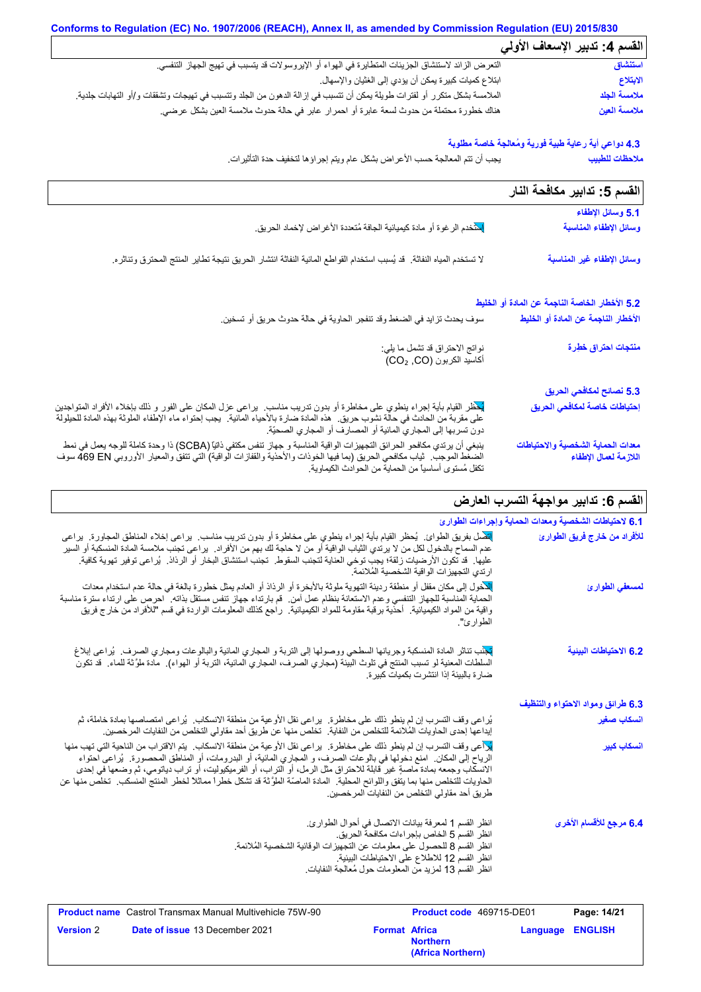|                                                                                                                                      | القسم 4: تدبير الإسعاف الأولى |
|--------------------------------------------------------------------------------------------------------------------------------------|-------------------------------|
| النعرض الزائد لاستنشاق الجزيئات المتطايرة في الهواء أو الإيروسولات قد يتسبب في تهيج الجهاز التنفسي.                                  | استنشاق                       |
| ابتلاع كميات كبيرة يمكن أن يؤدي إلى الغثيان والإسهال.                                                                                | الابتلاع                      |
| الملامسة بشكل متكرر أو لفترات طويلة يمكن أن تتسبب في إزالة الدهون من الجلد وتتسبب في تهيجات وتشققات و/أو التهابات جلدية <sub>.</sub> | ملامسة الجلد                  |
| هناك خطورة محتملة من حدوث لسعة عابرة أو احمرار عابر في حالة حدوث ملامسة العين بشكل عرضي.                                             | ملامسة العين                  |

## **4.3 دواعي أیة رعایة طبیة فوریة ومُعالجة خاصة مطلوبة**

یجب أن تتم المعالجة حسب الأعراض بشكل عام ویتم إجراؤھا لتخفیف حدة التأثیرات. **ملاحظات للطبیب**

| القسم 5: تدابير مكافحة النار                               |                                                                                                                                                                                                                                                                                                                                  |
|------------------------------------------------------------|----------------------------------------------------------------------------------------------------------------------------------------------------------------------------------------------------------------------------------------------------------------------------------------------------------------------------------|
| 5.1 وسائل الإطفاء                                          |                                                                                                                                                                                                                                                                                                                                  |
| وسائل الإطفاء المناسبة                                     | <mark>إِلاَنْ</mark> خدم الرغوة أو مادة كيميائية الجافة مُتعددة الأغراض لإخماد الحريق <sub>.</sub>                                                                                                                                                                                                                               |
| وسائل الإطفاء غير المناسبة                                 | لا تستخدم المياه النفاثة.  قد يُسبب استخدام القواطع المائية النفاثة انتشار الحريق نتيجة تطاير المنتج المحترق وتناثره.                                                                                                                                                                                                            |
| 5.2 الأخطار الخاصة الناجمة عن المادة أو الخليط             |                                                                                                                                                                                                                                                                                                                                  |
| الأخطار الناجمة عن المادة أو الخليط                        | سوف يحدث تزايد في الضغط وقد تنفجر الحاوية في حالة حدوث حريق أو تسخين.                                                                                                                                                                                                                                                            |
| منتجات احتراق خطِرة                                        | نواتج الاحتراق قد تشمل ما يلي:<br>أكاسيد الكربون (CO2 ,CO)                                                                                                                                                                                                                                                                       |
| 5.3 نصائح لمكافحي الحريق                                   |                                                                                                                                                                                                                                                                                                                                  |
| إحتياطات خاصة لمكافحي الحريق                               | لْيَحْظَر القيام بأية إجراء ينطوي على مخاطرة أو بدون تدريب مناسب.  يراعى عزل المكان على الفور و ذلك بإخلاء الأفراد المنواجدين<br>على مقربة من الحادث في حالة نشوب حريق.  هذه المادة ضارة بالأحياء المائية.  يجب إحتواء ماء الإطفاء الملوثة بهذه المادة للحيلولة<br>دون تسربها إلى المجاري المائية أو المصارف أو المجاري الصحيّة. |
| معدات الحماية الشخصية والاحتياطات<br>اللازمة لعمال الإطفاء | ينبغي أن يرتدي مكافحو الحرائق التجهيزات الواقية المناسبة و جهاز تنفس مكتفي ذاتيًا (SCBA) ذا وحدة كاملة للوجه يعمل في نمط<br>الضغط الموجب   ثياب مكافحي الحريق (بما فيها الخوذات والأحذية والقفازات الواقية) التي تتفق والمعيار  الأوروبي 469 EN سوف<br>تكفل مُستوى أساسياً من الحماية من الحوادث الكيماوية.                      |

# **القسم :6 تدابیر مواجھة التسرب العارض**

| 6.1 لاحتياطات الشخصية ومعدات الحماية وإجراءات الطوارئ |                                                                                                                                                                                                                                                                                                                                                                                                                                                                                                                                                                       |
|-------------------------------------------------------|-----------------------------------------------------------------------------------------------------------------------------------------------------------------------------------------------------------------------------------------------------------------------------------------------------------------------------------------------------------------------------------------------------------------------------------------------------------------------------------------------------------------------------------------------------------------------|
| للأفراد من خارج فريق الطوارئ                          | للنصل بفريق الطوائ  يُحظر القيام بأية إجراء ينطوي على مخاطرة أو بدون تدريب مناسب  يراعي إخلاء المناطق المجاورة  براعي<br>عدم السماح بالدخول لكل من لا يرتدي الثياب الواقية أو من لا حاجة لك بهم من الأفراد.  يراعي تجنب ملامسة المادة المنسكبة أو السير<br>عليها. قد تكون الأرضيات زلقة؛ يجب توخي العناية لتجنب السقوط. تجنب استنشاق البخار أو الرذاذ. يُراعى توفير تهوية كافية.<br>ارتدي التجهيزات الواقية الشخصية المُلائمة.                                                                                                                                        |
| لمسعفي الطوارئ                                        | الأخول إلى مكان مقفل أو منطقة ردينة التهوية ملوثة بالأبخرة أو الرذاذ أو العادم يمثل خطورة بالغة في حالة عدم استخدام معدات<br>الحماية المناسبة للجهاز التنفسي وعدم الاستعانة بنظام عمل أمن فم بارتداء جهاز تنفس مستقل بذاته لحرص على ارتداء سترة مناسبة<br>واقية من المواد الكيميائية   أحذية برقبة مقاومة للمواد الكيميائية   راجع كذلك المعلومات الواردة في قسم "للأفراد من خارج فريق<br>الطوارئ".                                                                                                                                                                   |
| 6.2 الاحتياطات البينية                                | <mark>تج</mark> نب تناثر المادة المنسكبة وجريانها السطحي ووصولها إلى التربة و المجاري المانية والبالوعات ومجاري الصرف.  يُراعى إبلاغ<br>السلطات المعنية لو تسبب المنتج في تلوث البيئة (مجاري الصرف، المجاري المائية، التربة أو الهواء).  مادة ملوَّ ثة للماء.  قد تكون<br>ضار ة بالبيئة إذا انتشرت بكميات كبير ة                                                                                                                                                                                                                                                      |
| 6.3 طرائق ومواد الاحتواء والتنظيف                     |                                                                                                                                                                                                                                                                                                                                                                                                                                                                                                                                                                       |
| انسكاب صغير                                           | يُراعى وقف التسرب إن لم ينطو ذلك على مخاطرة.  يراعى نقل الأوعية من منطقة الانسكاب.  يُراعى امتصاصها بمادة خاملة، ثم<br>إيداعها إحدى الحاويات المُلائمة للتخلص من النفاية.  تخلص منها عن طريق أحد مقاولي التخلص من النفايات المرخصين.                                                                                                                                                                                                                                                                                                                                  |
| انسكاب كبير                                           | لِمَرْأَعي وقف التسرب إن لم ينطو ذلك على مخاطرة.  يراعي نقل الأوعية من منطقة الانسكاب.  يتم الاقتراب من الناحية التي تهب منها<br>الرياح إلى المكان ِ امنع دخولها في بالوعات الصرف، و المجاري المائية، أو البدرومات، أو المناطق المحصورة ِ يُراعى احتواء<br>الانسكاب وجمعه بمادة ماصةٍ غير قابلة للاحتراق مثل الرمل، أو التراب، أو الفرميكيوليت، أو تراب دياتومي، ثم وضعها في إحدى<br>الحاويات للتخلص منها بما يتفق واللوائح المحلية. المادة الماصّة الملوَّثة قد تشكل خطراً مماثلاً لخطر المنتج المنسكب. تخلص منها عن<br>طريق أحد مقاولي التخلص من النفايات المرخصين. |
| 6.4 مرجع للأقسام الأخرى                               | انظر القسم 1 لمعرفة بيانات الاتصال في أحوال الطوارئ.<br>انظر القسم 5 الخاص بإجر اءات مكافحة الحريق.<br>انظر القسم 8 للحصول على معلومات عن التجهيزات الوقائية الشخصية المُلائمة.<br>انظر القسم 12 للاطلاع على الاحتياطات البيئية.<br>انظر القسم 13 لمزيد من المعلومات حول مُعالجة النفايات.                                                                                                                                                                                                                                                                            |
|                                                       |                                                                                                                                                                                                                                                                                                                                                                                                                                                                                                                                                                       |

| <b>Product name</b> Castrol Transmax Manual Multivehicle 75W-90 | <b>Product code</b> 469715-DE01                              | Page: 14/21      |
|-----------------------------------------------------------------|--------------------------------------------------------------|------------------|
| <b>Date of issue 13 December 2021</b><br><b>Version 2</b>       | <b>Format Africa</b><br><b>Northern</b><br>(Africa Northern) | Language ENGLISH |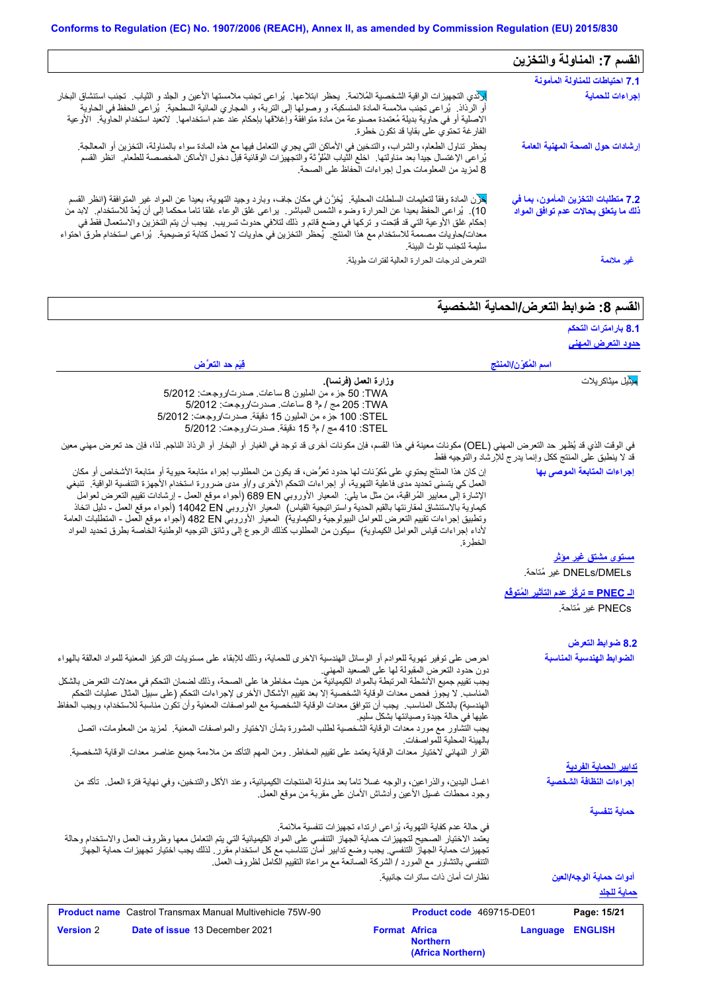|                                                                                                                                                                                                                                                                                                                                                                                                                                                                                                                                           | القسم 7: المناولة والتخزين                                                  |
|-------------------------------------------------------------------------------------------------------------------------------------------------------------------------------------------------------------------------------------------------------------------------------------------------------------------------------------------------------------------------------------------------------------------------------------------------------------------------------------------------------------------------------------------|-----------------------------------------------------------------------------|
|                                                                                                                                                                                                                                                                                                                                                                                                                                                                                                                                           | 7.1 احتياطات للمناولة المأمونة                                              |
| وأدي التجهيزات الواقية الشخصية المُلائمة. يحظر ابتلاعها. يُراعي تجنب ملامستها الأعين و الجلد و الثياب. تجنب استنشاق البخار<br>أو الرذاذ ٍ يُراعى نجنب ملامسة المادة المنسكبة، و وصولها إلى التربة، و المجاري المائية السطحية ¸ يُراعى الحفظ في الحاوية<br>الاصلية أو في حاوية بديلة مُعتمدة مصنوعة من مادة متوافقة وإغلاقها بإحكام عند عدم استخدامها. لاتعيد استخدام الحاوية. الأوعية<br>الفارغة تحتوي على بقايا قد تكون خطرة.                                                                                                            | إجراءات للحماية                                                             |
| يحظر تناول الطعام، والشراب، والتدخين في الأماكن التي يجري النعامل فيها مع هذه المادة سواء بالمناولة، النخزين أو المعالجة.<br>يُراعى الإغتسال جيداً بعد مناولتها ِ اخلع الثياب المُلوَّثة والتجهيزات الوقائية قبل دخول الأماكن المخصصة للطعام ِ انظر القسم<br>8 لمزيد من المعلومات حول إجراءات الحفاظ على الصحة.                                                                                                                                                                                                                           | إرشادات حول الصحة المهنية العامة                                            |
| لمحرن المادة وفقاً لتعليمات السلطات المحلية كخزَّن في مكان جاف، وبارد وجيد التهوية، بعيداً عن المواد غير المتوافقة (انظر القسم<br>10).  يُراعي الحفظ بعيدا عن الحرارة وضوء الشمس المباشر .  براعي غلق الوعاء غلقا ناما محكما إلى أن يُعذ للاستخدام.  لابد من<br>إحكام غلق الأوعية التي قد فُتِحت و تركها في وضع قائم و ذلك لتلافي حدوث تسريب ٍ يجب أن يتم التخزين والاستعمال فقط في<br>معدات/حاويات مصممة للاستخدام مع هذا المنتج ِ يُحظر التخزين في حاويات لا تحمل كتابة توضيحية ِ يُراعى استخدام طرق احتواء<br>سليمة لتجنب تلوث البيئة. | 7.2 متطلبات التخزين المأمون، بما في<br>ذلك ما يتعلق بحالات عدم توافق المواد |
| التعرض لدرجات الحرارة العالية لفترات طويلة                                                                                                                                                                                                                                                                                                                                                                                                                                                                                                | غير ملائمة                                                                  |

## القسم 8: ضوابط التع*ر*ض/الحماية الشخصية

|                                                                                                                                                                                                                                                                                                                                                                                                                                                                                                                                                                                                                                                                                                                                                                  |                                                                                                                      |                                                            | 8.1 بارامترات التحكم          |
|------------------------------------------------------------------------------------------------------------------------------------------------------------------------------------------------------------------------------------------------------------------------------------------------------------------------------------------------------------------------------------------------------------------------------------------------------------------------------------------------------------------------------------------------------------------------------------------------------------------------------------------------------------------------------------------------------------------------------------------------------------------|----------------------------------------------------------------------------------------------------------------------|------------------------------------------------------------|-------------------------------|
|                                                                                                                                                                                                                                                                                                                                                                                                                                                                                                                                                                                                                                                                                                                                                                  |                                                                                                                      |                                                            | <u>حدود التعرض المهني</u>     |
| فِيَم حد التعرَّض                                                                                                                                                                                                                                                                                                                                                                                                                                                                                                                                                                                                                                                                                                                                                |                                                                                                                      | اسم المُكوّن/المنتَج                                       |                               |
| وزارة الععل (فرنسا).<br>TWA: 50 جزء من المليون 8 ساعات صدرت/روجعت: 5/2012<br>TWA: 205 مج / م° 8 ساعات. صدرت/روجعت: 5/2012<br>STEL: 100 جزء من المليون 15 دقيقة. صدرت/روجـعت: 5/2012<br>STEL: 410 مج / م <sup>3</sup> 15 دقيقة. صدرت/روجعت: 5/2012                                                                                                                                                                                                                                                                                                                                                                                                                                                                                                                |                                                                                                                      |                                                            | <mark>مذ</mark> یل میثاکریلات |
| في الوقت الذي قد يُظهر حد التعرض المهني (OEL) مكونات معينة في هذا القسم، فإن مكونات أخرى قد توجد في الغبار أو الرذار الذاذ الناجم. لذا، فإن حد تعرض مهني معين                                                                                                                                                                                                                                                                                                                                                                                                                                                                                                                                                                                                    |                                                                                                                      | قد لا ينطبق على المنتج ككل وإنما يدرج للإرشاد والتوجيه فقط |                               |
| إن كان هذا المنتَج بحتوي على مُكرِّنات لها حدود تعرُّض، قد يكون من المطلوب إجراء متابعة حيوية أو متابعة الأشخاص أو مكان<br>العمل كي يتسنى تحديد مدى فاعلية التهوية، أو إجراءات التحكم الأخرى و/أو مدى ضرورة استخدام الأجهزة التنفسية الواقية.  تنبغي<br>الإشارة إلى معايير المُراقبة، من مثل ما يلي:  المعيار الأوروبي 680 689 (أجواء موقع العمل - إرشادات نقييع النعرض لعوامل<br>كيماوية بالاستنشاق لمقارنتها بالقيم الحدية واستراتيجية القياس)  المعيار الأوروبي 14042 EN (أجواء موقع العمل - دليل اتخاذ<br>وتطبيق إجراءات تقييم التعرض للعوامل البيولوجية والكيماوية)  المعيار الأوروبي 482 Bd (أجواء موقع العمل - المتطلبات العامة<br>لأداء إجراءات قياس العوامل الكيماوية)  سيكون من المطلوب كذلك الرجوع إلى وثائق التوجيه الوطنية الخاصة بطرق تحديد المواد | الخطرة.                                                                                                              |                                                            | إجراءات المتابعة الموصى بها   |
|                                                                                                                                                                                                                                                                                                                                                                                                                                                                                                                                                                                                                                                                                                                                                                  |                                                                                                                      |                                                            | <u>مستوی مشتق غیر موثر</u>    |
|                                                                                                                                                                                                                                                                                                                                                                                                                                                                                                                                                                                                                                                                                                                                                                  |                                                                                                                      |                                                            | DNELs/DMELs غير مُتاحة.       |
|                                                                                                                                                                                                                                                                                                                                                                                                                                                                                                                                                                                                                                                                                                                                                                  |                                                                                                                      | الـ PNEC = تركَّز عدم التآثير المُتوفَّع                   |                               |
|                                                                                                                                                                                                                                                                                                                                                                                                                                                                                                                                                                                                                                                                                                                                                                  |                                                                                                                      |                                                            | PNECs غير مُتاحة.             |
|                                                                                                                                                                                                                                                                                                                                                                                                                                                                                                                                                                                                                                                                                                                                                                  |                                                                                                                      |                                                            | 8.2 ضوابط التعرض              |
| احرص على توفير تهوية للعوادم أو الوسائل الهندسية الاخرى للحماية، وذلك للإبقاء على مستويات التركيز المعنية للمواد العالقة بالهواء                                                                                                                                                                                                                                                                                                                                                                                                                                                                                                                                                                                                                                 |                                                                                                                      |                                                            | الضوابط الهندسية المناسبة     |
| يجب تقييم جميع الأنشطة المرتبطة بالمواد الكيميائية من حيث مخاطر ها على الصحة، وذلك لضمان التحكم في معدلات التعرض بالشكل<br>المناسب. لا يجوز فحص معدات الوقاية الشخصية إلا بعد تقييم الأشكال الأخرى لإجراءات التحكم (على سبيل المثال عمليات التحكم<br>الهندسية) بالشكل المناسب.  يجب أن تتوافق معدات الوقاية الشخصية مع المواصفات المعنية وأن تكون مناسبة للاستخدام، ويجب الحفاظ<br>يجب التشاور مع مورد معدات الوقاية الشخصية لطلب المشورة بشأن الاختيار والمواصفات المعنية   لمزيد من المعلومات، اتصل<br>القرار النهائي لاختيار معدات الوقاية يعتمد على تقييم المخاطر ـ ومن المهم التأكد من ملاءمة جميع عناصر معدات الوقاية الشخصية.                                                                                                                             | دون حدود النعرض المقبولة لها على الصعيد المهنى<br>عليها في حالة جيدة وصيانتها بشكل سليم<br>بالهيئة المحلية للمواصفات |                                                            |                               |
|                                                                                                                                                                                                                                                                                                                                                                                                                                                                                                                                                                                                                                                                                                                                                                  |                                                                                                                      |                                                            | <u>تدابير الحماية الفردية</u> |
| اغسل اليدين، والذراعين، والوجه غسلا تاماً بعد مناولة المنتجات الكيميائية، وعند الأكل والتدخين، وفي نهاية فترة العمل ـ تأكد من<br>وجود محطات غسلي الأعين وأدشاش الأمان على مقربة من موقع العمل                                                                                                                                                                                                                                                                                                                                                                                                                                                                                                                                                                    |                                                                                                                      |                                                            | إجراءات النظافة الشخصية       |
|                                                                                                                                                                                                                                                                                                                                                                                                                                                                                                                                                                                                                                                                                                                                                                  |                                                                                                                      |                                                            | حماية تنفسية                  |
| في حالة عدم كفاية التهوية، يُراعى ارتداء تجهيزات تنفسية ملائمة.<br>يعتمد الاختيار الصحيح لتجهيزات حماية الجهاز التنفسي على المواد الكيميائية التي يتم التعامل معها وظروف العمل والاستخدام وحالة<br>تجهيزات حماية الجهاز التنفسي. يجب وضع تدابير أمان تتناسب مع كل استخدام مقرر . لذلك يجب اختيار تجهيزات حماية الجهاز<br>التنفسي بالتشاور مع المورد / الشركة الصانعة مع مراعاة التقييم الكامل لظروف العمل                                                                                                                                                                                                                                                                                                                                                        |                                                                                                                      |                                                            |                               |
|                                                                                                                                                                                                                                                                                                                                                                                                                                                                                                                                                                                                                                                                                                                                                                  | نظار ات أمان ذات ساتر ات جانبية.                                                                                     |                                                            | أدو ات حماية الوجه/العين      |
|                                                                                                                                                                                                                                                                                                                                                                                                                                                                                                                                                                                                                                                                                                                                                                  |                                                                                                                      |                                                            | حماية للجلد                   |
| <b>Product name</b> Castrol Transmax Manual Multivehicle 75W-90                                                                                                                                                                                                                                                                                                                                                                                                                                                                                                                                                                                                                                                                                                  | Product code 469715-DE01                                                                                             |                                                            | Page: 15/21                   |
| <b>Version 2</b><br>Date of issue 13 December 2021                                                                                                                                                                                                                                                                                                                                                                                                                                                                                                                                                                                                                                                                                                               | <b>Format Africa</b><br><b>Northern</b><br>(Africa Northern)                                                         | <b>Language</b>                                            | <b>ENGLISH</b>                |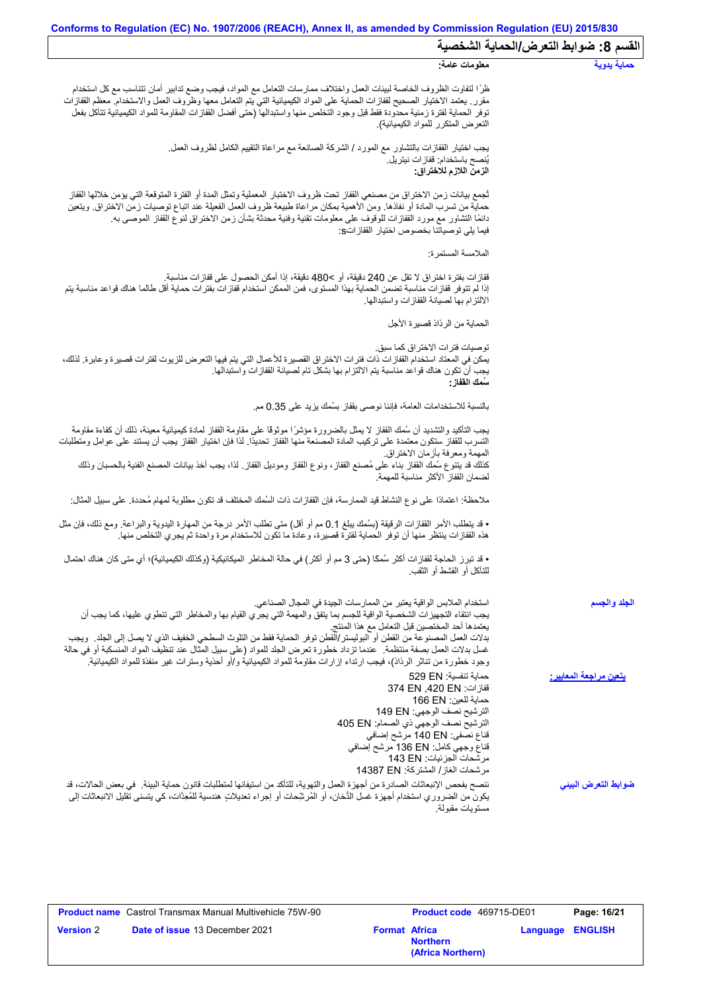| Conforms to Regulation (EC) No. 1907/2006 (REACH), Annex II, as amended by Commission Regulation (EU) 2015/830                                                                                                                                                                                                                                                                                                                                                                                                                                                                                                                      |                                       |
|-------------------------------------------------------------------------------------------------------------------------------------------------------------------------------------------------------------------------------------------------------------------------------------------------------------------------------------------------------------------------------------------------------------------------------------------------------------------------------------------------------------------------------------------------------------------------------------------------------------------------------------|---------------------------------------|
|                                                                                                                                                                                                                                                                                                                                                                                                                                                                                                                                                                                                                                     | القسم 8: ضوابط التعرض/الحماية الشخصية |
| معلومات عامة:                                                                                                                                                                                                                                                                                                                                                                                                                                                                                                                                                                                                                       | حماية يدوية                           |
| ظرًا لتفاوت الظروف الخاصة لبيئات العمل واختلاف ممارسات التعامل مع المواد، فيجب وضع تدابير أمان تتناسب مع كل استخدام<br>مقرر ٍ يعتمد الاختيار الصحيح لقفازات الحماية على المواد الكيميائية التي يتع التعامل معها وظروف العمل والاستخدام ِ معظم القفازات<br>توفر الحماية لفترة زمنية محدودة فقط قبل وجود التخلص منها واستبدالها (حتى أفضل القفازات المقاومة للمواد الكيميائية تتآكل بفعل<br>التعرض المتكرر للمواد الكيميائية)                                                                                                                                                                                                         |                                       |
| يجب اختيار القفازات بالتشاور مع المورد / الشركة الصـانعة مع مراعاة التقييم الكامل لظروف العمل.<br>يُنصح باستخدام: قفاز ات نيتريل.<br>الزمن اللازم للاختراق:                                                                                                                                                                                                                                                                                                                                                                                                                                                                         |                                       |
| ثجمع بيانات زمن الاختراق من مصنعي القفاز تحت ظروف الاختبار المعملية وتمثل المدة أو الفترة المتوقعة التي يؤمن خلالها القفاز<br>حماية من تسرب المادة أو نفاذها. ومن الأهمية بمكان مراعاة طبيعة ظروف العمل الفعيلة عند اتباع توصيات زمن الاختراق. ويتعين<br>دائمًا التشاور مع مورد القفازات للوقوف على معلومات تقنية وفنية محدثة بشأن زمن الاختراق لنوع القفاز الموصىي به<br>فيما يلِّي توصياتنا بخصوص اختيار  القفاز اتS:                                                                                                                                                                                                             |                                       |
| الملامسة المستمرة:                                                                                                                                                                                                                                                                                                                                                                                                                                                                                                                                                                                                                  |                                       |
| قفازات بفترة اختراق لا تقل عن 240 دقيقة، أو >480 دقيقة، إذا أمكن الحصول على قفازات مناسبة.<br>إذا لم تتوفر قفازات مناسبة تضمن الحماية بهذا المستوى، فمن الممكن استخدام قفازات بفترات حماية أقل طالما هناك قواعد مناسبة يتم<br>الالتزام بها لصيانة القفازات واستبدالها                                                                                                                                                                                                                                                                                                                                                               |                                       |
| الحماية من الرذاذ قصيرة الأجل                                                                                                                                                                                                                                                                                                                                                                                                                                                                                                                                                                                                       |                                       |
| توصيات فتر ات الاختر اق كما سبق.<br>يمكن في المعتاد استخدام القفازات ذات فترات الاختراق القصيرة للأعمال التي يتم فيها التعرض للزيوت لفترات قصيرة وعابرة. لذلك،<br>يجب أن تكون هناك قواعد مناسبة يتم الالتزام بها بشكل تام لصيانة القفازات واستبدالها.<br>سُمك الففاز :                                                                                                                                                                                                                                                                                                                                                              |                                       |
| بالنسبة للاستخدامات العامة، فإننا نوصي بقفاز بسُمك يزيد على 0.35 مم.                                                                                                                                                                                                                                                                                                                                                                                                                                                                                                                                                                |                                       |
| يجب التأكيد والتشديد أن سُمك القفاز لا يمثل بالضرورة مؤشرًا موثوقًا على مقاومة القفاز لمادة كيميائية معينة، ذلك أن كفاءة مقاومة<br>التسرب للقفاز ستكون معتمدة على تركيب المادة المصنعة منها القفاز تحديدًا. لذا فإن اختيار القفاز يجب أن يستند على عوامل ومتطلبات                                                                                                                                                                                                                                                                                                                                                                   |                                       |
| المهمة ومعرفة بأزمان الاختراق.<br>كذلك قد يتنوع سُمك القفاز بناء على مُصنع القفاز، ونوع القفاز وموديل القفاز ٍ لذا، يجب أخذ بيانات المصنع الفنية بالحسبان وذلك<br>لضمان القفاز الأكثر مناسبة للمهمة                                                                                                                                                                                                                                                                                                                                                                                                                                 |                                       |
| ملاحظة: اعتمادًا على نوع النشاط قيد الممارسة، فإن القفازات ذات السُمك المختلف قد تكون مطلوبة لمهام مُحددة. على سبيل المثال:                                                                                                                                                                                                                                                                                                                                                                                                                                                                                                         |                                       |
| • قد يتطلب الأمر القفازات الرقيقة (بسُمك يبلغ 0.1 مم أو أقل) متى تطلب الأمر درجة من المهارة اليدوية والبراعة. ومع ذلك، فإن مثل<br>هذه القفازات ينتظر منها أن توفر الحماية لفترة قصيرة، وعادة ما تكون للاستخدام مرة واحدة ثم يجري التخلص منها.                                                                                                                                                                                                                                                                                                                                                                                       |                                       |
| • قد تبرز الحاجة لقفازات أكثر سُمكًا (حتى 3 مم أو أكثر ) في حالة المخاطر الميكانيكية (وكذلك الكيميائية)؛ أي متى كان هناك احتمال<br>للتأكل أو القشط أو الثقب.                                                                                                                                                                                                                                                                                                                                                                                                                                                                        |                                       |
| استخدام الملابس الواقية يعتبر من الممارسات الجيدة في المجال الصناعي.<br>يجب انتُقاء التجهيزات الشخصية الواقية للجسم بما يتفقّ والمهمة التي يجري القيام بها والمخاطر التي تنطوي عليها، كما يجب أن<br>يعتمدها أحد المختصين قبل التعامل مع هذا المنتج<br>بدلات العمل المصنوعة من القطن أو البوليستر/القطن توفر الحماية فقط من التلوث السطحي الخفيف الذي لا يصل إلى الجلد ٍ ويجب<br>غسل بدلات العمل بصفة منتظمة ¸ عندما تزداد خطورة تعرض الجلد للمواد (على سبيل المثّال عند تنظيف المواد المنسكبة أو في حالة<br>وجود خطورة من تناثر الرذاذ)، فيجب ارتداء إزارات مقاومة للمواد الكيميائية و/أو أحذية وسترات غير منفذة للمواد الكيميائية. | الجلد والجسم                          |
| حماية تنفسية: 529 EN<br>قفاز ات: 374 EN ,420 EN<br>حماية للعين: 166 EN<br>الترشيح نصف الوجهي: 149 EN<br>الترشيح نصف الوجهي ذي الصمام: 405 EN<br>قناع نصفي: 140 EN مرشح إضافي<br>قناع وجهي كامل: 136 EN مرشح إضافي<br>مرشحات الجزئيات: 143 EN<br>مرشحات الغاز/ المشتركة: 14387 EN                                                                                                                                                                                                                                                                                                                                                    | يتعين مراجعة المعايي <u>ر :</u>       |
| ننصح بفحص الإنبعاثات الصادرة من أجهزة العمل والتهوية، للتأكد من استيفائها لمتطلبات قانون حماية البيئة _ في بعض الحالات، قد<br>يكون من الضروري استخدام أجهزة غسل الدُّخان، أو المُرشَحات أو إجراء تعديلاتٍ هندسية للمُعِدَّات، كي يتسنى تقليل الانبعاثات إلى<br>مستويات مقبولة.                                                                                                                                                                                                                                                                                                                                                      | ضوابط التعرض البينى                   |

|                  | <b>Product name</b> Castrol Transmax Manual Multivehicle 75W-90 |                      | <b>Product code</b> 469715-DE01      |                         | Page: 16/21 |
|------------------|-----------------------------------------------------------------|----------------------|--------------------------------------|-------------------------|-------------|
| <b>Version</b> 2 | <b>Date of issue 13 December 2021</b>                           | <b>Format Africa</b> | <b>Northern</b><br>(Africa Northern) | <b>Language ENGLISH</b> |             |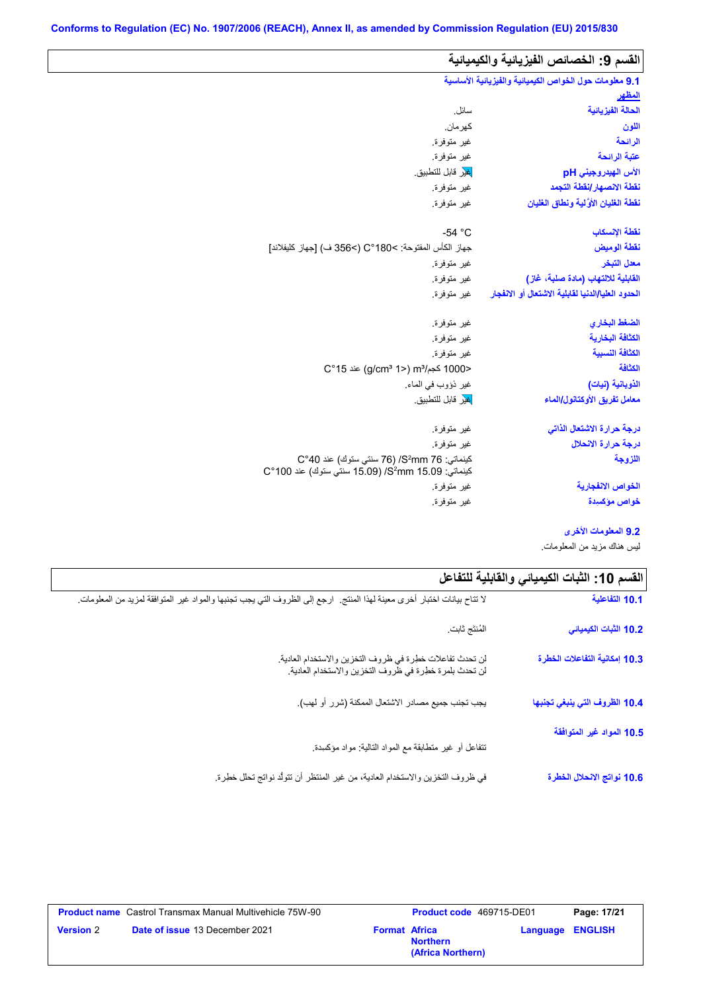| 9.1 معلومات حول الخواص الكيميانية والفيزيانية الأساسية<br><u>المظهر</u> |                                                                                              |
|-------------------------------------------------------------------------|----------------------------------------------------------------------------------------------|
|                                                                         |                                                                                              |
|                                                                         |                                                                                              |
| الحالة الفيز يائية                                                      | سائل.                                                                                        |
| اللون                                                                   | كهر مان.                                                                                     |
| الرائحة                                                                 | غير متوفرة.                                                                                  |
| عتبة الرائحة                                                            | غير متوفرة.                                                                                  |
| الأس الهيدروجيني pH                                                     | <mark>غي</mark> ر قابل للتطبيق.                                                              |
| نقطة الانصهار انقطة التجمد                                              | غير متوفرة.                                                                                  |
| نفطة الغليان الأولية ونطاق الغليان                                      | غير متوفرة.                                                                                  |
| نقطة الإنسكاب                                                           | $-54 °C$                                                                                     |
| نقطة الوميض                                                             | جهاز الكأس المفتوحة: C°180<) (>356 ف) [جهاز كليفلاند]                                        |
| معدل التبخر                                                             | غير متوفرة.                                                                                  |
| القابلية للالتهاب (مادة صلبة، غاز)                                      | غير متوفرة.                                                                                  |
| الحدود العليا/الدنيا لقابلية الاشتعال أو الانفجار                       | غير متوفرة.                                                                                  |
| الضغط البخاري                                                           | غير متوفرة.                                                                                  |
| الكثافة البخارية                                                        | غير متوفرة.                                                                                  |
| الكثافة النسبية                                                         | غير متوفرة.                                                                                  |
| الكثافة                                                                 | <1000 كجم/m3 (2°15) m3 عند 15°C                                                              |
| الذوبانية (نبات)                                                        | غير ذؤوب في الماء.                                                                           |
| معامل تفريق الأوكتانول/الماء                                            | لغير قابل للتطبيق.                                                                           |
| درجة حرارة الاشتعال الذاتى                                              | غير متوفرة                                                                                   |
| درجة حرارة الانحلال                                                     | غير متوفرة.                                                                                  |
| اللزوجة                                                                 | كينماتي: 56 S2mm/ (76 سنتي ستوك) عند 40°C<br>كينماتي: 5.09 S2mm/ (15.09 سنتي ستوك) عند 100°C |
| الخواص الانفجا <i>ر</i> ية                                              | غير متوفرة.                                                                                  |
| خواص مؤكسيدة                                                            | غير متوفرة.                                                                                  |

**9.2 المعلومات الأخرى**

لیس ھناك مزید من المعلومات.

| القسم 10: الثبات الكيميائي والقابلية للتفاعل |                                                                                                                          |
|----------------------------------------------|--------------------------------------------------------------------------------------------------------------------------|
| 10.1 التفاعلية                               | لا تتاح بيانات اختبار أخرى معينة لهذا المنتج.  ارجع إلى الظروف التي يجب تجنبها والمواد غير المتوافقة لمزيد من المعلومات. |
| 10.2 الثبات الكيميائي                        | المُنتَج ثابت                                                                                                            |
| 10.3 إمكانية التفاعلات الخطرة                | لن تحدث تفاعلات خطرة في ظروف التخزين والاستخدام العادية.<br>لن تحدث بلمرة خطرة في ظروف التخزين والاستخدام العادية.       |
| 10.4 الظروف التي ينبغي تجنبها                | يجب تجنب جميع مصادر الاشتعال الممكنة (شرر أو لهب).                                                                       |
| 10.5 المواد غير المتوافقة                    | نتفاعل أو غير منطابقة مع المواد النالية: مواد مؤكسدة.                                                                    |
| 10.6 نواتج الانحلال الخطرة                   | في ظروف التخزين والاستخدام العادية، من غير المنتظر أن تتولَّد نواتج تحلل خطِرة.                                          |

|                  | <b>Product name</b> Castrol Transmax Manual Multivehicle 75W-90 |                      | Product code 469715-DE01             | Page: 17/21             |
|------------------|-----------------------------------------------------------------|----------------------|--------------------------------------|-------------------------|
| <b>Version 2</b> | <b>Date of issue 13 December 2021</b>                           | <b>Format Africa</b> | <b>Northern</b><br>(Africa Northern) | <b>Language ENGLISH</b> |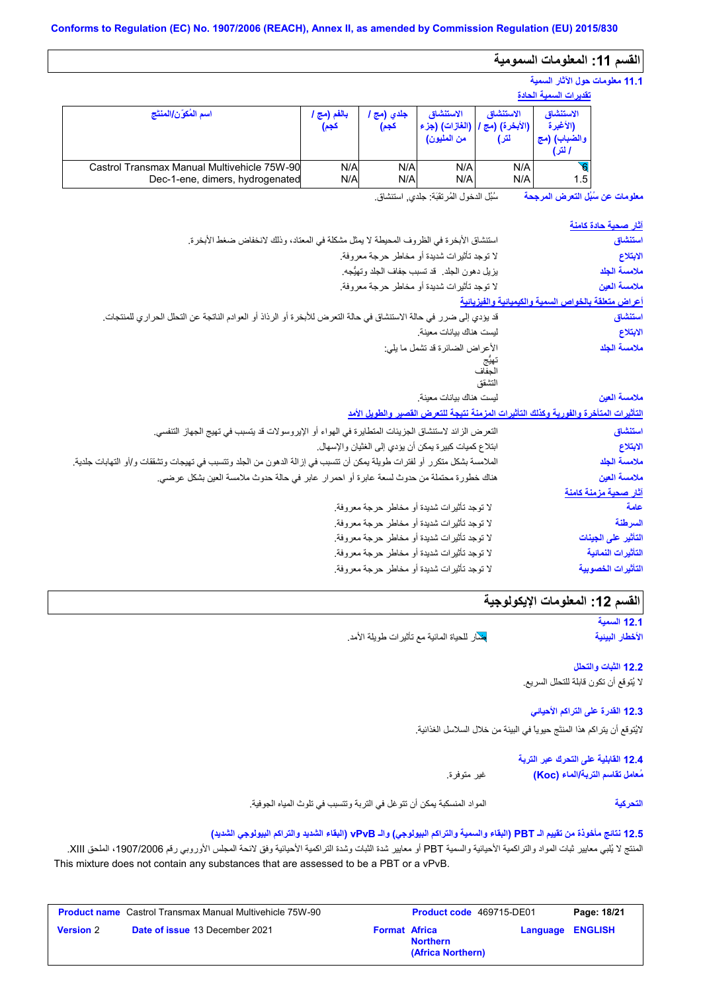# القسم **11:** المعلومات السمومية

## **11.1 معلومات حول الآثار السمیة**

|                                                                                |                   |                  |                          |                                                          | تقدير ات السمية الحادة                          |
|--------------------------------------------------------------------------------|-------------------|------------------|--------------------------|----------------------------------------------------------|-------------------------------------------------|
| اسم المُكوّن/المنتَج                                                           | بالفم (مج<br>كجم) | جلدي (مج<br>كجم) | الاستنشاق<br>من المليون) | الاستنشاق<br>  (الأبخرة) (مج /  (الغازات) (جزء  <br>لتر) | الاستنشاق<br>(الأغبرة<br>والضباب) (مج<br>ا لتر) |
| Castrol Transmax Manual Multivehicle 75W-90<br>Dec-1-ene, dimers, hydrogenated | N/A<br>N/A        | N/A<br>N/A       | N/A<br>N/A               | N/A<br>N/A                                               | 1.5                                             |

سُبُل الدخول المُرتقَبَة: جلدي, استنشاق. **معلومات عن سُبُل التعرض المرجحة**

| <u>آثار صحية حادة كام</u> نة                        |                                                                                                                          |
|-----------------------------------------------------|--------------------------------------------------------------------------------------------------------------------------|
| استنشاق                                             | استنشاق الأبخرة في الظروف المحيطة لا يمثل مشكلة في المعتاد، وذلك لانخفاض ضغط الأبخرة.                                    |
| الابتلاع                                            | لا توجد تأثيرات شديدة أو مخاطر حرجة معروفة.                                                                              |
| ملامسة الجلد                                        | يزيل دهون الجلد _ قد تسبب جفاف الجلد وتهيُّجه ِ                                                                          |
| ملامسة العين                                        | لا توجد تأثيرات شديدة أو مخاطر حرجة معروفة.                                                                              |
| أعراض متعلقة بالخواص السمية والكيميانية والفيزيانية |                                                                                                                          |
| استنشاق                                             | قد يؤدي إلى ضرر في حالة الاستنشاق في حالة التعرض للأبخرة أو الرذاذ أو العوادم الناتجة عن التحلل الحراري للمنتجات         |
| الابتلاع                                            | ليست هناك بيانات معينة.                                                                                                  |
| ملامسة الجلد                                        | الأعراض الضائرة قد تشمل ما يلي:                                                                                          |
|                                                     | تهيّج<br>الجفاف                                                                                                          |
|                                                     | التشقق                                                                                                                   |
| ملامسة العين                                        | ليست هناك بيانات معينة.                                                                                                  |
|                                                     | التأثيرات المتأخرة والفورية وكذلك التأثيرات المزمنة نتبجة للتعرض القصير والطويل الأمد                                    |
|                                                     |                                                                                                                          |
| استنشاق                                             | النعر ض الزائد لاستنشاق الجزيئات المتطايرة في الهواء أو الإيروسولات قد يتسبب في تهيج الجهاز التنفسي.                     |
| الابتلاع                                            | ابتلاع كميات كبيرة يمكن أن يؤدي إلى الغثيان والإسهال.                                                                    |
| ملامسة الجلد                                        | الملامسة بشكل متكرر أو لفترات طويلة يمكن أن تتسبب في إزالة الدهون من الجلد وتتسبب في تهيجات وتشققات و/أو التهابات جلدية. |
| ملامسة العين                                        | هناك خطورة محتملة من حدوث لسعة عابرة أو احمر ار عابر في حالة حدوث ملامسة العين بشكل عرضي.                                |
| آثار صحبة مزمنة كامنة                               |                                                                                                                          |
| علمة                                                | لا توجد تأثيرات شديدة أو مخاطر حرجة معروفة.                                                                              |
| السرطنة                                             | لا توجد تأثيرات شديدة أو مخاطر حرجة معروفة.                                                                              |
| التأثير على الجينات                                 | لا توجد تأثيرات شديدة أو مخاطر حرجة معروفة.                                                                              |
| التأثيرات النمائية                                  | لا توجد تأثيرات شديدة أو مخاطر حرجة معروفة.                                                                              |
| التأثيرات الخصوبية                                  | لا توجد تأثيرات شديدة أو مخاطر حرجة معروفة.                                                                              |
|                                                     |                                                                                                                          |

# القسم 12: المعلومات الإيكولوجية

**12.1 السمیة الأخطار البیئیة**

ضار للحیاة المائیة مع تأثیرات طویلة الأمد.

# **12.2 الثبات والتحلل**

لا یُتوقع أن تكون قابلة للتحلل السریع.

**12.3 القدرة على التراكم الأحیائي**

لایُتوقع أن یتراكم ھذا المنتَج حیویاً في البیئة من خلال السلاسل الغذائیة.

|             | 12.4 القابلية على التحرك عبر التربة |
|-------------|-------------------------------------|
| غير متوفرة. | مُعامل تقاسم التربة/الماء (Koc)     |

المواد المنسكبة یمكن أن تتوغل في التربة وتتسبب في تلوث المیاه الجوفیة. **التحركیة**

#### **12.5 نتائج مأخوذة من تقییم الـ PBT) البقاء والسمیة والتراكم البیولوجي) والـ vPvB) البقاء الشدید والتراكم البیولوجي الشدید)**

المنتج لا یُلبي معاییر ثبات المواد والتراكمیة الأحیائیة والسمیة PBT أو معاییر شدة الثبات وشدة التراكمیة الأحیائیة وفق لائحة المجلس الأوروبي رقم ،1907/2006 الملحق XIII. This mixture does not contain any substances that are assessed to be a PBT or a vPvB.

| <b>Product name</b> Castrol Transmax Manual Multivehicle 75W-90 |                                       | <b>Product code</b> 469715-DE01 |                                      | Page: 18/21             |  |
|-----------------------------------------------------------------|---------------------------------------|---------------------------------|--------------------------------------|-------------------------|--|
| <b>Version 2</b>                                                | <b>Date of issue 13 December 2021</b> | <b>Format Africa</b>            | <b>Northern</b><br>(Africa Northern) | <b>Language ENGLISH</b> |  |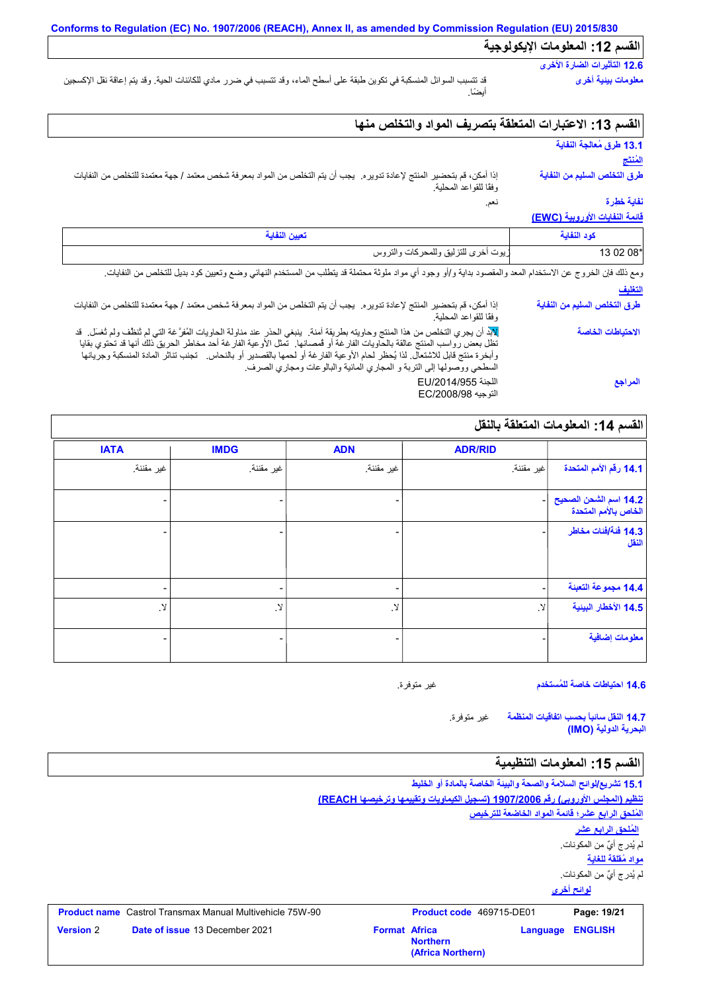## **القسم :12 المعلومات الإیكولوجیة**

# **12.6 التأثیرات الضارة الأخرى**

قد تتسبب السوائل المنسكبة في تكوین طبقة على أسطح الماء، وقد تتسبب في ضرر مادي للكائنات الحیة. وقد یتم إعاقة نقل الإكسجین أیضًا.

## **القسم :13 الاعتبارات المتعلقة بتصریف المواد والتخلص منھا**

نعم.

### **13.1 طرق مُعالجة النفایة المُنتَج**

**معلومات بیئیة أخرى**

**طرق التخلص السلیم من النفایة**

إذا أمكن، قم بتحضیر المنتج لإعادة تدویره. یجب أن یتم التخلص من المواد بمعرفة شخص معتمد / جھة معتمدة للتخلص من النفایات وفقًا للقواعد المحلیة.

## **نفایة خطِرة**

#### **قائمة النفایات الأوروبیة (EWC(**

| زيوت أخرى للتزليق وللمحركات والتروس | $2.08^*$ |
|-------------------------------------|----------|

ومع ذلك فإن الخروج عن الاستخدام المعد والمقصود بدایة و/أو وجود أي مواد ملوئة محتملة قد يتطلب من المستخدم النهائي وضع وتعيين كود بديل للتخلص من النفايات.

# **التغلیف**

إذا أمكن، قم بتحضیر المنتج لإعادة تدویره. یجب أن یتم التخلص من المواد بمعرفة شخص معتمد / جھة معتمدة للتخلص من النفایات وفقًا للقواعد المحلیة. لابد أن یجري التخلص من ھذا المنتج وحاویتھ بطریقة آمنة. ینبغي الحذر عند مناولة الحاویات المُفرَّ غة التي لم تُنظَّف ولم تُغسَل. قد تظل بعض رواسب المنتج عالقة بالحاویات الفارغة أو قُمصانھا. تمثل الأوعیة الفارغة أحد مخاطر الحریق ذلك أنھا قد تحتوي بقایا وأبخرة منتج قابل للاشتعال. لذا یُحظر لحام الأوعیة الفارغة أو لحمھا بالقصدیر أو بالنحاس. تجنب تناثر المادة المنسكبة وجریانھا السطحي ووصولھا إلى التربة و المجاري المائیة والبالوعات ومجاري الصرف. اللجنة /2014/955EU التوجیھ /2008/98EC **طرق التخلص السلیم من النفایة الاحتیاطات الخاصة المراجع**

# **القسم :14 المعلومات المتعلقة بالنقل**

| <b>IATA</b> | <b>IMDG</b>  | <b>ADN</b>               | <b>ADR/RID</b> |                                               |
|-------------|--------------|--------------------------|----------------|-----------------------------------------------|
| غير مقننة.  | غير مقننة.   | غير مقننة.               | اغير مقننة.    | 14.1 رفَّم الأمم المتحدة                      |
|             | -            |                          |                | 14.2 اسم الشحن الصحيح<br>الخاص بالأمم المتحدة |
|             |              |                          |                | 14.3 فَنَة ُافْنَات مخاطر<br>النقل            |
|             |              |                          |                | 14.4 مجموعة التعبنة                           |
| .Y          | $\cdot$ $\!$ | <u>لا</u>                | $\mathcal{Y}$  | 14.5 الأخطار البينية                          |
|             | -            | $\overline{\phantom{0}}$ |                | معلومات إضافية                                |

**14.6 احتیاطات خاصة للمُستخدم**

غیر متوفرة.

غیر متوفرة. **14.7 النقل سائباً بحسب اتفاقیات المنظمة البحریة الدولیة (IMO(**

## **القسم :15 المعلومات التنظیمیة**

**لوائح أخرى 15.1 تشریع/لوائح السلامة والصحة والبیئة الخاصة بالمادة أو الخلیط تنظیم (المجلس الأوروبي) رقم 1907/2006 (تسجیل الكیماویات وتقییمھا وترخیصھا REACH( المُلحق الرابع عشر؛ قائمة المواد الخاضعة للترخیص مواد مُقلقة للغایة** لم یُدرج أيٌ من المكونات. لم یُدرج أيٌ من المكونات. **المُلحق الرابع عشر Product name** Castrol Transmax Manual Multivehicle 75W-90 **Product code** 469715-DE01 **Page: 19/21 Page: 19/21 Version** 2 **Date of issue** 13 December 2021 **Format** Africa **Northern Language ENGLISH (Africa Northern)**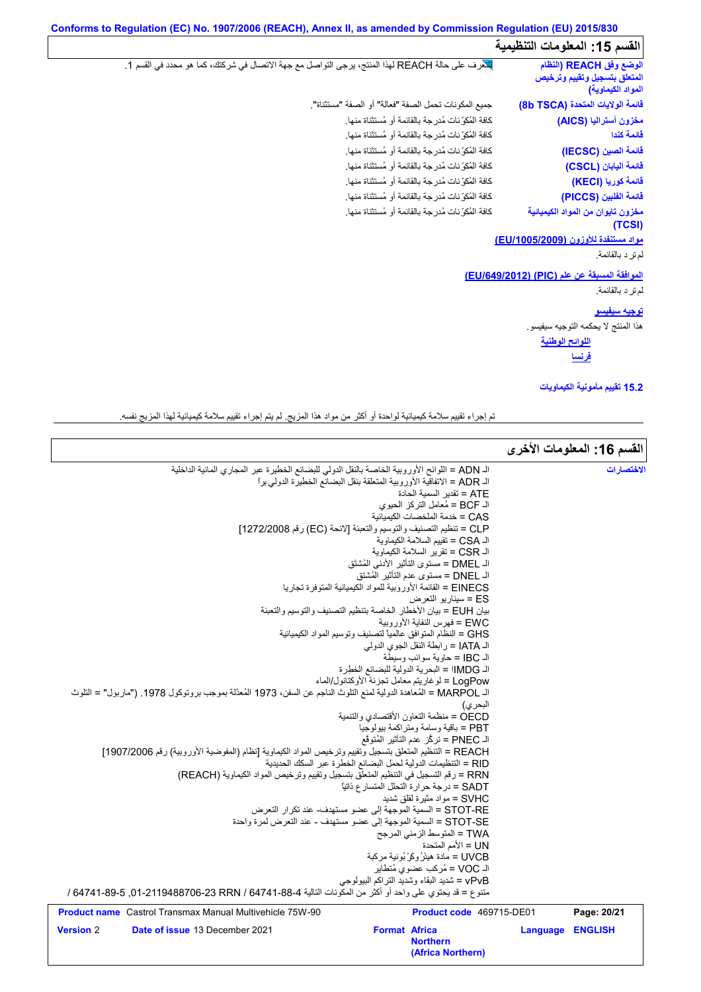| Conforms to Regulation (EC) No. 1907/2006 (REACH), Annex II, as amended by Commission Regulation (EU) 2015/830 |                                                                                                 |  |  |
|----------------------------------------------------------------------------------------------------------------|-------------------------------------------------------------------------------------------------|--|--|
| القسم 15: المعلومات التنظيمية                                                                                  |                                                                                                 |  |  |
| الوضع وفق REACH (النظام<br>المتعلق بتسجيل وتقييم وترخيص<br>المواد الكيماوية)                                   | للكرف على حالة REACH لهذا المنتج، يرجى التواصل مع جهة الاتصال في شركتك، كما هو محدد في القسم 1. |  |  |
| فَانِمة الولايات المتحدة (8b TSCA)                                                                             | جميع المكونات تحمل الصفة "فعالة" أو الصفة "مستثناة".                                            |  |  |
| مغزون أستراليا (AICS)                                                                                          | كافة المُكرِّ نات مُدرِ جة بالقائمة أو مُستثناة منها.                                           |  |  |
| فائمة كندا                                                                                                     | كافة المُكوِّ نات مُدرجة بالقائمة أو مُستثناة منها.                                             |  |  |
| فَائِمة الصين (IECSC)                                                                                          | كافة المُكوِّ نات مُدرِجة بالقائمة أو مُستثناة منها.                                            |  |  |
| فَائمة اليابان (CSCL)                                                                                          | كافة المُكوِّ نات مُدرِ جة بالقائمة أو مُستثناة منها.                                           |  |  |
| فَائِمة كوريا (KECI)                                                                                           | كافة المُكوِّ نات مُدرجة بالقائمة أو مُستثناة منها.                                             |  |  |
| فَائِمة الفَلبين (PICCS)                                                                                       | كافة المُكوِّ نات مُدرِ جة بالقائمة أو مُستثناة منها.                                           |  |  |
| مخزون تايوان من المواد الكيميائية<br>(TCSI)                                                                    | كافة المُكوِّ نات مُدرجة بالقائمة أو مُستثناة منها.                                             |  |  |
| مواد مستنفدة للأوزون (EU/1005/2009)                                                                            |                                                                                                 |  |  |
| لم تر د بالقائمة.                                                                                              |                                                                                                 |  |  |
| الموافقة المسبقة عن علم (PIC) (EU/649/2012)                                                                    |                                                                                                 |  |  |
| لم تر د بالقائمة.                                                                                              |                                                                                                 |  |  |
| <u>توجيه سيفيسو</u>                                                                                            |                                                                                                 |  |  |
| هذا المنتج لا يحكمه التوجيه سيفيسو.                                                                            |                                                                                                 |  |  |
| ا <u>للوائح الوطنية</u>                                                                                        |                                                                                                 |  |  |
| <u>فرنسا</u>                                                                                                   |                                                                                                 |  |  |
| 15.2 نقييم مأمونية الكيماويات                                                                                  |                                                                                                 |  |  |
|                                                                                                                |                                                                                                 |  |  |

تم إجراء تقییم سلامة كیمیائیة لواحدة أو أكثر من مواد ھذا المزیج. لم یتم إجراء تقییم سلامة كیمیائیة لھذا المزیج نفسھ.

| القسم 16: المعلومات الأخرى        |                                                                                                 |                                                                                                                    |
|-----------------------------------|-------------------------------------------------------------------------------------------------|--------------------------------------------------------------------------------------------------------------------|
| الاختصارات                        |                                                                                                 | الـ ADN = اللوائح الأوروبية الخاصة بالنقل الدولي للبضائع الخطيرة عبر المجاري المائية الداخلية                      |
|                                   | الـ ADR = الاتفاقية الأوروبية المتعلقة بنقل البضائع الخطيرة الدولي براً                         |                                                                                                                    |
|                                   | ATE = تقدير   السمية الحادة                                                                     |                                                                                                                    |
|                                   | الـ BCF = مُعامل النركز الحيوى                                                                  |                                                                                                                    |
|                                   | CAS = خدمة الملخصات الكبمبائبة                                                                  |                                                                                                                    |
|                                   | CLP = تنظيم التصنيف والتوسيم والتعبئة [لائحة (EC) رقم 1272/2008]                                |                                                                                                                    |
|                                   | الـ CSA = تقييم السلامة الكيماوية                                                               |                                                                                                                    |
|                                   | الـ CSR = تقرير السلامة الكيماوية                                                               |                                                                                                                    |
|                                   | الـ DMEL = مستوى التأثير  الأدنى المُشتَق                                                       |                                                                                                                    |
|                                   | الـ DNEL = مستوى عدم التأثير المُشتق                                                            |                                                                                                                    |
|                                   | EINECS = القائمة الأوروبية للمواد الكيميائية المتوفرة تجاريا                                    |                                                                                                                    |
|                                   | ES = سيناريو التعرض                                                                             |                                                                                                                    |
|                                   | بيان EUH = بيان الأخطار الخاصة بتنظيم التصنيف والتوسيم والتعبئة<br>EWC = فهرس النفاية الأوروبية |                                                                                                                    |
|                                   | GHS = النظام المتوافق عالمياً لتصنيف وتوسيم المواد الكيميائية                                   |                                                                                                                    |
|                                   | الـ IATA = رابطة النقل الجوي الدولي                                                             |                                                                                                                    |
|                                   | اك IBC = حاوية سوائب وسيطة                                                                      |                                                                                                                    |
|                                   | الـ IMDG! = البحرية الدولية للبضائع الخطرة                                                      |                                                                                                                    |
|                                   | LogPow = لوغاريتم معامل تجزئة الأوكتانول/الماء                                                  |                                                                                                                    |
|                                   |                                                                                                 | اك MARPOL = المُعاهدة الدولية لمفع التلوث الناجم عن السفن، 1973 المُعدَّلة بموجب بروتوكول 1978. ("ماربول" = التلوث |
|                                   | البحر ي)                                                                                        |                                                                                                                    |
|                                   | OECD = منظمة التعاون الأقتصادي والتنمية                                                         |                                                                                                                    |
|                                   | PBT = باقية وسامة ومتر اكمة بيولوجيا                                                            |                                                                                                                    |
|                                   | الـ PNEC = تركُّز عدم التَأثير المُتوقَّع                                                       |                                                                                                                    |
|                                   |                                                                                                 | REACH = التنظيم المتعلق بتسجيل وتقييم وترخيص المواد الكيماوية [نظام (المفوضية الأوروبية) رقم 1907/2006]            |
|                                   | RID = التنظيمات الدولية لحمل البضائع الخطرة عبر السكك الحديدية                                  |                                                                                                                    |
|                                   |                                                                                                 | RRN = رقم التسجيل في التنظيم المتعلق بتسجيل وتقييم وترخيص المواد الكيماوية (REACH)                                 |
|                                   | SADT = درجة حرارة التحلل المتسار ع ذاتيًا                                                       |                                                                                                                    |
|                                   | SVHC = مو اد مثیر ة لقلق شدید                                                                   |                                                                                                                    |
|                                   | STOT-RE = السمية الموجهة إلى عضو مستهدف- عند تكرار التعرض                                       |                                                                                                                    |
|                                   | STOT-SE = السمية الموجهة إلى عضو مستهدف - عند التعرض لمرة واحدة                                 |                                                                                                                    |
|                                   | TWA = المتوسط الزمني المرجح                                                                     |                                                                                                                    |
|                                   | UN = الأمم المتحدة                                                                              |                                                                                                                    |
|                                   | UVCB = مادة هيئرُ وكَرْ بُونية مركبة                                                            |                                                                                                                    |
|                                   | الـ VOC = مُركب عضوى مُتطاير                                                                    |                                                                                                                    |
|                                   | vPvB = شديد البقاء وشديد التراكم البيولوجي                                                      | متنوع = قد يحتوي على واحد أو أكثر من المكّونات التالية 4-88-64741 / G4741-89-6, 29-64741-89 / 64741-               |
| Page: 20/21                       | Product code 469715-DE01                                                                        | <b>Product name</b> Castrol Transmax Manual Multivehicle 75W-90                                                    |
| <b>ENGLISH</b><br><b>Language</b> | <b>Format Africa</b>                                                                            | Date of issue 13 December 2021<br><b>Version 2</b>                                                                 |
|                                   | <b>Northern</b>                                                                                 |                                                                                                                    |
|                                   | (Africa Northern)                                                                               |                                                                                                                    |